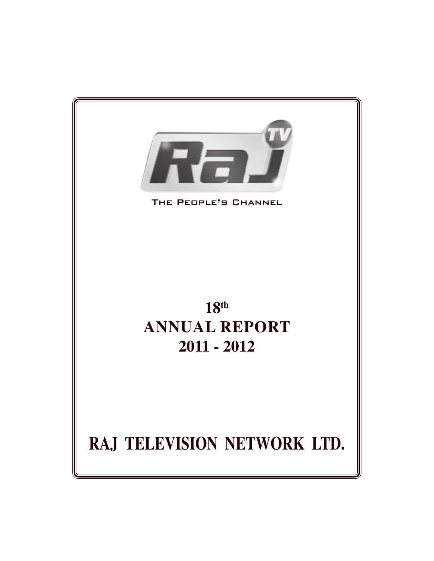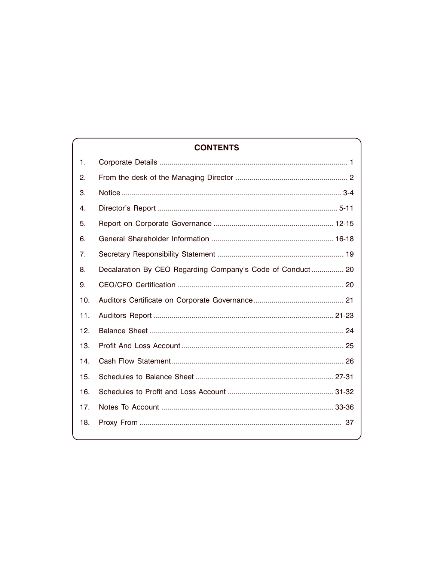# **CONTENTS**

| 1.  |                                                            |
|-----|------------------------------------------------------------|
| 2.  |                                                            |
| 3.  |                                                            |
| 4.  |                                                            |
| 5.  |                                                            |
| 6.  |                                                            |
| 7.  |                                                            |
| 8.  | Decalaration By CEO Regarding Company's Code of Conduct 20 |
| 9.  |                                                            |
| 10. |                                                            |
| 11. |                                                            |
| 12. |                                                            |
| 13. |                                                            |
| 14. |                                                            |
| 15. |                                                            |
| 16. |                                                            |
| 17. |                                                            |
| 18. |                                                            |
|     |                                                            |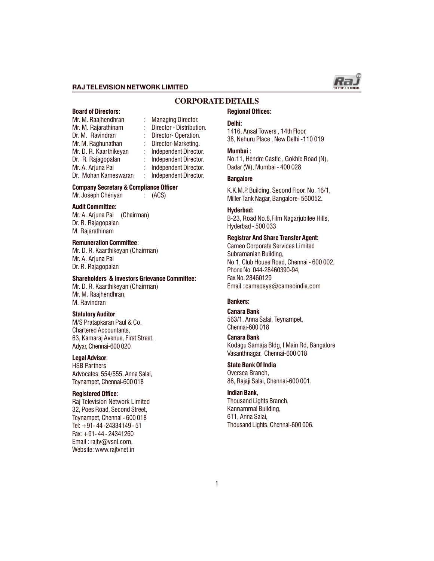

### **CORPORATE DETAILS**

# Board of Directors:

Mr. M. Rajarathinam : Director - Distribution. Dr. M. Ravindran : Director-Operation. Mr. M. Raghunathan : Director-Marketing. Mr. D. R. Kaarthikeyan : Independent Director. Dr. R. Rajagopalan : Independent Director.<br>Mr. A. Arjuna Pai : Independent Director. Dr. Mohan Kameswaran : Independent Director.

Mr. M. Raajhendhran : Managing Director. : Independent Director.<br>: Independent Director.

# Company Secretary & Compliance Officer

Mr. Joseph Cheriyan : (ACS)

#### Audit Committee:

Mr. A. Arjuna Pai (Chairman) Dr. R. Rajagopalan M. Rajarathinam

#### Remuneration Committee:

Mr. D. R. Kaarthikeyan (Chairman) Mr. A. Arjuna Pai Dr. R. Rajagopalan

#### Shareholders & Investors Grievance Committee:

Mr. D. R. Kaarthikeyan (Chairman) Mr. M. Raajhendhran, M. Ravindran

#### Statutory Auditor:

M/S Pratapkaran Paul & Co, Chartered Accountants, 63, Kamaraj Avenue, First Street, Adyar, Chennai-600 020

#### Legal Advisor:

HSB Partners Advocates, 554/555, Anna Salai, Teynampet, Chennai-600 018

#### Registered Office:

Raj Television Network Limited 32, Poes Road, Second Street, Teynampet, Chennai - 600 018 Tel: +91- 44 -24334149 - 51 Fax: +91- 44 - 24341260 Email: raity@vsnl.com, Website: www.rajtvnet.in

#### Regional Offices:

#### Delhi:

1416, Ansal Towers , 14th Floor, 38, Nehuru Place , New Delhi -110 019

#### Mumbai :

No.11, Hendre Castle , Gokhle Road (N), Dadar (W), Mumbai - 400 028

#### **Bangalore**

K.K.M.P. Building, Second Floor, No. 16/1, Miller Tank Nagar, Bangalore- 560052.

### Hyderbad:

B-23, Road No.8,Film Nagarjubilee Hills, Hyderbad - 500 033

#### Registrar And Share Transfer Agent:

Cameo Corporate Services Limited Subramanian Building, No.1, Club House Road, Chennai - 600 002, Phone No. 044-28460390-94, Fax No. 28460129 Email : cameosys@cameoindia.com

#### Bankers:

Canara Bank 563/1, Anna Salai, Teynampet, Chennai-600 018

#### Canara Bank

Kodagu Samaja Bldg, I Main Rd, Bangalore Vasanthnagar, Chennai-600 018

#### State Bank Of India

Oversea Branch, 86, Rajaji Salai, Chennai-600 001.

#### Indian Bank,

Thousand Lights Branch, Kannammal Building, 611, Anna Salai, Thousand Lights, Chennai-600 006.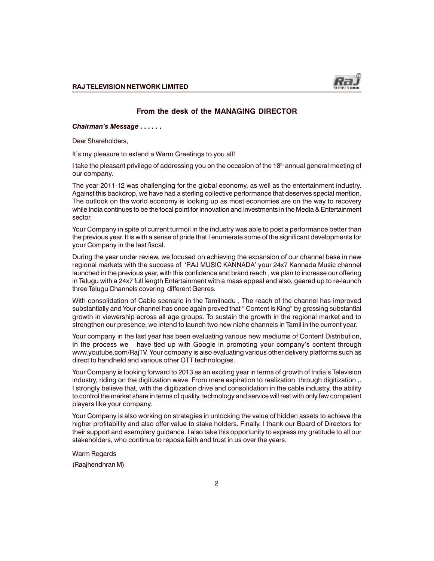

### From the desk of the MANAGING DIRECTOR

Chairman's Message . . . . . .

Dear Shareholders,

It's my pleasure to extend a Warm Greetings to you all!

I take the pleasant privilege of addressing you on the occasion of the 18<sup>th</sup> annual general meeting of our company.

The year 2011-12 was challenging for the global economy, as well as the entertainment industry. Against this backdrop, we have had a sterling collective performance that deserves special mention. The outlook on the world economy is looking up as most economies are on the way to recovery while India continues to be the focal point for innovation and investments in the Media & Entertainment sector.

Your Company in spite of current turmoil in the industry was able to post a performance better than the previous year. It is with a sense of pride that I enumerate some of the significant developments for your Company in the last fiscal.

During the year under review, we focused on achieving the expansion of our channel base in new regional markets with the success of 'RAJ MUSIC KANNADA' your 24x7 Kannada Music channel launched in the previous year, with this confidence and brand reach , we plan to increase our offering in Telugu with a 24x7 full length Entertainment with a mass appeal and also, geared up to re-launch three Telugu Channels covering different Genres.

With consolidation of Cable scenario in the Tamilnadu , The reach of the channel has improved substantially and Your channel has once again proved that " Content is King" by grossing substantial growth in viewership across all age groups. To sustain the growth in the regional market and to strengthen our presence, we intend to launch two new niche channels in Tamil in the current year.

Your company in the last year has been evaluating various new mediums of Content Distribution, In the process we have tied up with Google in promoting your company's content through www.youtube.com/RajTV. Your company is also evaluating various other delivery platforms such as direct to handheld and various other OTT technologies.

Your Company is looking forward to 2013 as an exciting year in terms of growth of India's Television industry, riding on the digitization wave. From mere aspiration to realization through digitization ,. I strongly believe that, with the digitization drive and consolidation in the cable industry, the ability to control the market share in terms of quality, technology and service will rest with only few competent players like your company.

Your Company is also working on strategies in unlocking the value of hidden assets to achieve the higher profitability and also offer value to stake holders. Finally, I thank our Board of Directors for their support and exemplary guidance. I also take this opportunity to express my gratitude to all our stakeholders, who continue to repose faith and trust in us over the years.

Warm Regards

(Raajhendhran M)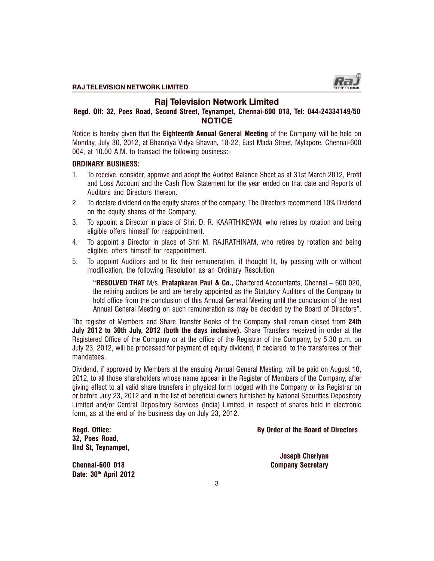

# Raj Television Network Limited

# Regd. Off: 32, Poes Road, Second Street, Teynampet, Chennai-600 018, Tel: 044-24334149/50 **NOTICE**

Notice is hereby given that the Eighteenth Annual General Meeting of the Company will be held on Monday, July 30, 2012, at Bharatiya Vidya Bhavan, 18-22, East Mada Street, Mylapore, Chennai-600 004, at 10.00 A.M. to transact the following business:-

### ORDINARY BUSINESS:

- 1. To receive, consider, approve and adopt the Audited Balance Sheet as at 31st March 2012, Profit and Loss Account and the Cash Flow Statement for the year ended on that date and Reports of Auditors and Directors thereon.
- 2. To declare dividend on the equity shares of the company. The Directors recommend 10% Dividend on the equity shares of the Company.
- 3. To appoint a Director in place of Shri. D. R. KAARTHIKEYAN, who retires by rotation and being eligible offers himself for reappointment.
- 4. To appoint a Director in place of Shri M. RAJRATHINAM, who retires by rotation and being eligible, offers himself for reappointment.
- 5. To appoint Auditors and to fix their remuneration, if thought fit, by passing with or without modification, the following Resolution as an Ordinary Resolution:

RESOLVED THAT M/s. Pratapkaran Paul & Co., Chartered Accountants, Chennai 600 020, the retiring auditors be and are hereby appointed as the Statutory Auditors of the Company to hold office from the conclusion of this Annual General Meeting until the conclusion of the next Annual General Meeting on such remuneration as may be decided by the Board of Directors".

The register of Members and Share Transfer Books of the Company shall remain closed from 24th July 2012 to 30th July, 2012 (both the days inclusive). Share Transfers received in order at the Registered Office of the Company or at the office of the Registrar of the Company, by 5.30 p.m. on July 23, 2012, will be processed for payment of equity dividend, if declared, to the transferees or their mandatees.

Dividend, if approved by Members at the ensuing Annual General Meeting, will be paid on August 10, 2012, to all those shareholders whose name appear in the Register of Members of the Company, after giving effect to all valid share transfers in physical form lodged with the Company or its Registrar on or before July 23, 2012 and in the list of beneficial owners furnished by National Securities Depository Limited and/or Central Depository Services (India) Limited, in respect of shares held in electronic form, as at the end of the business day on July 23, 2012.

| Regd. Office:       |
|---------------------|
| 32, Poes Road,      |
| IInd St, Teynampet, |

### By Order of the Board of Directors

Chennai-600 018 Company Secretary Date: 30<sup>th</sup> April 2012

Joseph Cheriyan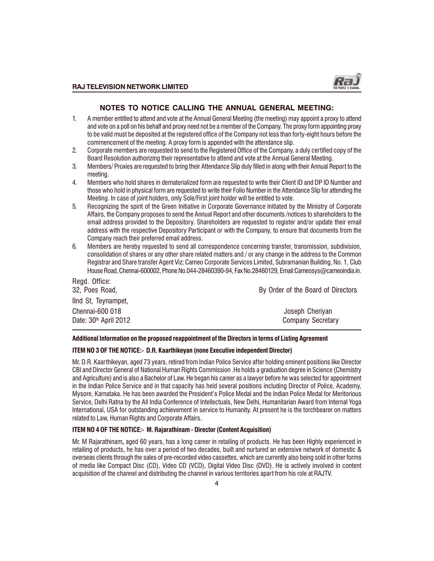

### NOTES TO NOTICE CALLING THE ANNUAL GENERAL MEETING:

- 1. A member entitled to attend and vote at the Annual General Meeting (the meeting) may appoint a proxy to attend and vote on a poll on his behalf and proxy need not be a member of the Company. The proxy form appointing proxy to be valid must be deposited at the registered office of the Company not less than forty-eight hours before the commencement of the meeting. A proxy form is appended with the attendance slip.
- 2. Corporate members are requested to send to the Registered Office of the Company, a duly certified copy of the Board Resolution authorizing their representative to attend and vote at the Annual General Meeting.
- 3. Members/ Proxies are requested to bring their Attendance Slip duly filled in along with their Annual Report to the meeting.
- 4. Members who hold shares in dematerialized form are requested to write their Client ID and DP ID Number and those who hold in physical form are requested to write their Folio Number in the Attendance Slip for attending the Meeting. In case of joint holders, only Sole/First joint holder will be entitled to vote.
- 5. Recognizing the spirit of the Green Initiative in Corporate Governance initiated by the Ministry of Corporate Affairs, the Company proposes to send the Annual Report and other documents /notices to shareholders to the email address provided to the Depository. Shareholders are requested to register and/or update their email address with the respective Depository Participant or with the Company, to ensure that documents from the Company reach their preferred email address.
- 6. Members are hereby requested to send all correspondence concerning transfer, transmission, subdivision, consolidation of shares or any other share related matters and / or any change in the address to the Common Registrar and Share transfer Agent Viz; Cameo Corporate Services Limited, Subramanian Building, No. 1, Club House Road, Chennai-600002, Phone No.044-28460390-94, Fax No.28460129, Email:Cameosys@cameoindia.in.

| By Order of the Board of Directors          |
|---------------------------------------------|
|                                             |
| Joseph Cheriyan<br><b>Company Secretary</b> |
|                                             |

#### Additional Information on the proposed reappointment of the Directors in terms of Listing Agreement

#### ITEM NO 3 OF THE NOTICE:- D.R. Kaarthikeyan (none Executive independent Director)

Mr. D.R. Kaarthikeyan, aged 73 years, retired from Indian Police Service after holding eminent positions like Director CBI and Director General of National Human Rights Commission .He holds a graduation degree in Science (Chemistry and Agriculture) and is also a Bachelor of Law. He began his career as a lawyer before he was selected for appointment in the Indian Police Service and in that capacity has held several positions including Director of Police, Academy, Mysore, Karnataka. He has been awarded the President's Police Medal and the Indian Police Medal for Meritorious Service, Delhi Ratna by the All India Conference of Intellectuals, New Delhi, Humanitarian Award from Internal Yoga International, USA for outstanding achievement in service to Humanity. At present he is the torchbearer on matters related to Law, Human Rights and Corporate Affairs.

# ITEM NO 4 OF THE NOTICE:- M. Rajarathinam - Director (Content Acquisition)

Mr. M Rajarathinam, aged 60 years, has a long career in retailing of products. He has been Highly experienced in retailing of products, he has over a period of two decades, built and nurtured an extensive network of domestic & overseas clients through the sales of pre-recorded video cassettes, which are currently also being sold in other forms of media like Compact Disc (CD), Video CD (VCD), Digital Video Disc (DVD). He is actively involved in content acquisition of the channel and distributing the channel in various territories apart from his role at RAJTV.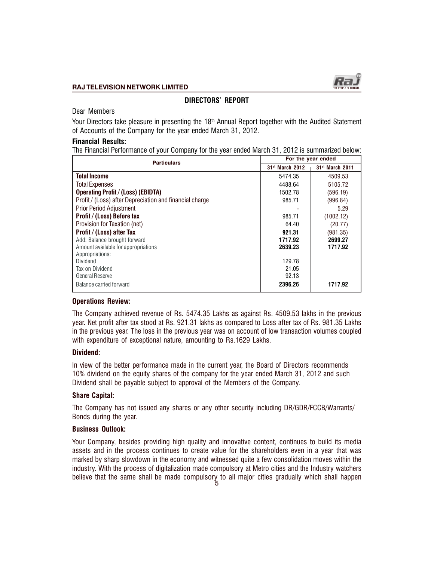

# DIRECTORS' REPORT

Dear Members

Your Directors take pleasure in presenting the 18<sup>th</sup> Annual Report together with the Audited Statement of Accounts of the Company for the year ended March 31, 2012.

# Financial Results:

The Financial Performance of your Company for the year ended March 31, 2012 is summarized below:

| <b>Particulars</b>                                      |                             | For the year ended          |  |  |
|---------------------------------------------------------|-----------------------------|-----------------------------|--|--|
|                                                         | 31 <sup>st</sup> March 2012 | 31 <sup>st</sup> March 2011 |  |  |
| <b>Total Income</b>                                     | 5474.35                     | 4509.53                     |  |  |
| <b>Total Expenses</b>                                   | 4488.64                     | 5105.72                     |  |  |
| <b>Operating Profit / (Loss) (EBIDTA)</b>               | 1502.78                     | (596.19)                    |  |  |
| Profit / (Loss) after Depreciation and financial charge | 985.71                      | (996.84)                    |  |  |
| Prior Period Adjustment                                 |                             | 5.29                        |  |  |
| Profit / (Loss) Before tax                              | 985.71                      | (1002.12)                   |  |  |
| Provision for Taxation (net)                            | 64.40                       | (20.77)                     |  |  |
| Profit / (Loss) after Tax                               | 921.31                      | (981.35)                    |  |  |
| Add: Balance brought forward                            | 1717.92                     | 2699.27                     |  |  |
| Amount available for appropriations                     | 2639.23                     | 1717.92                     |  |  |
| Appropriations:                                         |                             |                             |  |  |
| Dividend                                                | 129.78                      |                             |  |  |
| Tax on Dividend                                         | 21.05                       |                             |  |  |
| <b>General Reserve</b>                                  | 92.13                       |                             |  |  |
| Balance carried forward                                 | 2396.26                     | 1717.92                     |  |  |

### Operations Review:

The Company achieved revenue of Rs. 5474.35 Lakhs as against Rs. 4509.53 lakhs in the previous year. Net profit after tax stood at Rs. 921.31 lakhs as compared to Loss after tax of Rs. 981.35 Lakhs in the previous year. The loss in the previous year was on account of low transaction volumes coupled with expenditure of exceptional nature, amounting to Rs.1629 Lakhs.

### Dividend:

In view of the better performance made in the current year, the Board of Directors recommends 10% dividend on the equity shares of the company for the year ended March 31, 2012 and such Dividend shall be payable subject to approval of the Members of the Company.

# Share Capital:

The Company has not issued any shares or any other security including DR/GDR/FCCB/Warrants/ Bonds during the year.

### Business Outlook:

Your Company, besides providing high quality and innovative content, continues to build its media assets and in the process continues to create value for the shareholders even in a year that was marked by sharp slowdown in the economy and witnessed quite a few consolidation moves within the industry. With the process of digitalization made compulsory at Metro cities and the Industry watchers believe that the same shall be made compulsory to all major cities gradually which shall happen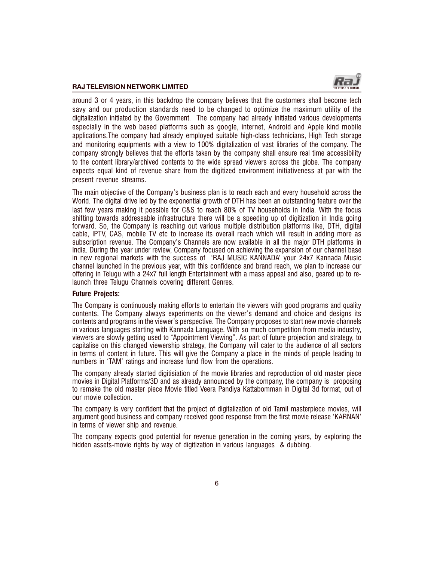

around 3 or 4 years, in this backdrop the company believes that the customers shall become tech savy and our production standards need to be changed to optimize the maximum utility of the digitalization initiated by the Government. The company had already initiated various developments especially in the web based platforms such as google, internet. Android and Apple kind mobile applications.The company had already employed suitable high-class technicians, High Tech storage and monitoring equipments with a view to 100% digitalization of vast libraries of the company. The company strongly believes that the efforts taken by the company shall ensure real time accessibility to the content library/archived contents to the wide spread viewers across the globe. The company expects equal kind of revenue share from the digitized environment initiativeness at par with the present revenue streams.

The main objective of the Company's business plan is to reach each and every household across the World. The digital drive led by the exponential growth of DTH has been an outstanding feature over the last few years making it possible for C&S to reach 80% of TV households in India. With the focus shifting towards addressable infrastructure there will be a speeding up of digitization in India going forward. So, the Company is reaching out various multiple distribution platforms like, DTH, digital cable, IPTV, CAS, mobile TV etc to increase its overall reach which will result in adding more as subscription revenue. The Company's Channels are now available in all the major DTH platforms in India. During the year under review, Company focused on achieving the expansion of our channel base in new regional markets with the success of 'RAJ MUSIC KANNADA' your 24x7 Kannada Music channel launched in the previous year, with this confidence and brand reach, we plan to increase our offering in Telugu with a 24x7 full length Entertainment with a mass appeal and also, geared up to relaunch three Telugu Channels covering different Genres.

### Future Projects:

The Company is continuously making efforts to entertain the viewers with good programs and quality contents. The Company always experiments on the viewer's demand and choice and designs its contents and programs in the viewer's perspective. The Company proposes to start new movie channels in various languages starting with Kannada Language. With so much competition from media industry, viewers are slowly getting used to "Appointment Viewing". As part of future projection and strategy, to capitalise on this changed viewership strategy, the Company will cater to the audience of all sectors in terms of content in future. This will give the Company a place in the minds of people leading to numbers in 'TAM' ratings and increase fund flow from the operations.

The company already started digitisiation of the movie libraries and reproduction of old master piece movies in Digital Platforms/3D and as already announced by the company, the company is proposing to remake the old master piece Movie titled Veera Pandiya Kattabomman in Digital 3d format, out of our movie collection.

The company is very confident that the project of digitalization of old Tamil masterpiece movies, will argument good business and company received good response from the first movie release 'KARNAN' in terms of viewer ship and revenue.

The company expects good potential for revenue generation in the coming years, by exploring the hidden assets-movie rights by way of digitization in various languages & dubbing.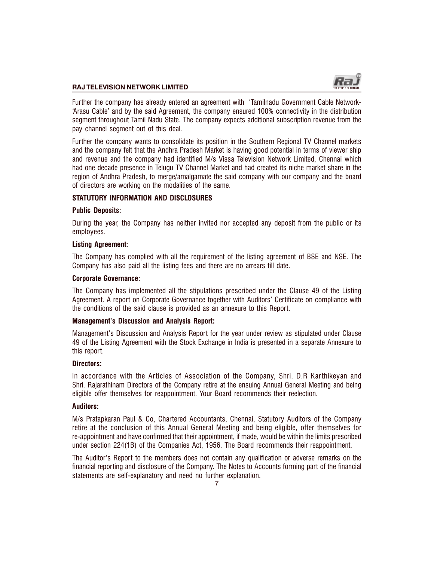

Further the company has already entered an agreement with Tamilnadu Government Cable Network- Arasu Cable' and by the said Agreement, the company ensured 100% connectivity in the distribution segment throughout Tamil Nadu State. The company expects additional subscription revenue from the pay channel segment out of this deal.

Further the company wants to consolidate its position in the Southern Regional TV Channel markets and the company felt that the Andhra Pradesh Market is having good potential in terms of viewer ship and revenue and the company had identified M/s Vissa Television Network Limited, Chennai which had one decade presence in Telugu TV Channel Market and had created its niche market share in the region of Andhra Pradesh, to merge/amalgamate the said company with our company and the board of directors are working on the modalities of the same.

# STATUTORY INFORMATION AND DISCLOSURES

# Public Deposits:

During the year, the Company has neither invited nor accepted any deposit from the public or its employees.

# Listing Agreement:

The Company has complied with all the requirement of the listing agreement of BSE and NSE. The Company has also paid all the listing fees and there are no arrears till date.

# Corporate Governance:

The Company has implemented all the stipulations prescribed under the Clause 49 of the Listing Agreement. A report on Corporate Governance together with Auditors' Certificate on compliance with the conditions of the said clause is provided as an annexure to this Report.

# Management's Discussion and Analysis Report:

Management's Discussion and Analysis Report for the year under review as stipulated under Clause 49 of the Listing Agreement with the Stock Exchange in India is presented in a separate Annexure to this report.

### Directors:

In accordance with the Articles of Association of the Company, Shri. D.R Karthikeyan and Shri. Rajarathinam Directors of the Company retire at the ensuing Annual General Meeting and being eligible offer themselves for reappointment. Your Board recommends their reelection.

### Auditors:

M/s Pratapkaran Paul & Co, Chartered Accountants, Chennai, Statutory Auditors of the Company retire at the conclusion of this Annual General Meeting and being eligible, offer themselves for re-appointment and have confirmed that their appointment, if made, would be within the limits prescribed under section 224(1B) of the Companies Act, 1956. The Board recommends their reappointment.

The Auditor's Report to the members does not contain any qualification or adverse remarks on the financial reporting and disclosure of the Company. The Notes to Accounts forming part of the financial statements are self-explanatory and need no further explanation.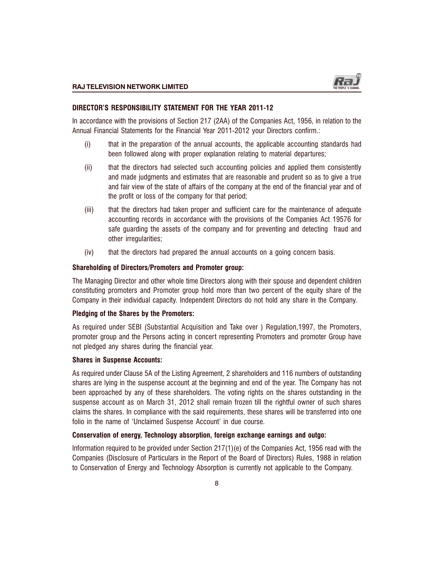# DIRECTOR'S RESPONSIBILITY STATEMENT FOR THE YEAR 2011-12

In accordance with the provisions of Section 217 (2AA) of the Companies Act, 1956, in relation to the Annual Financial Statements for the Financial Year 2011-2012 your Directors confirm.:

- (i) that in the preparation of the annual accounts, the applicable accounting standards had been followed along with proper explanation relating to material departures;
- (ii) that the directors had selected such accounting policies and applied them consistently and made judgments and estimates that are reasonable and prudent so as to give a true and fair view of the state of affairs of the company at the end of the financial year and of the profit or loss of the company for that period;
- (iii) that the directors had taken proper and sufficient care for the maintenance of adequate accounting records in accordance with the provisions of the Companies Act 19576 for safe guarding the assets of the company and for preventing and detecting fraud and other irregularities;
- (iv) that the directors had prepared the annual accounts on a going concern basis.

# Shareholding of Directors/Promoters and Promoter group:

The Managing Director and other whole time Directors along with their spouse and dependent children constituting promoters and Promoter group hold more than two percent of the equity share of the Company in their individual capacity. Independent Directors do not hold any share in the Company.

# Pledging of the Shares by the Promoters:

As required under SEBI (Substantial Acquisition and Take over ) Regulation,1997, the Promoters, promoter group and the Persons acting in concert representing Promoters and promoter Group have not pledged any shares during the financial year.

### Shares in Suspense Accounts:

As required under Clause 5A of the Listing Agreement, 2 shareholders and 116 numbers of outstanding shares are lying in the suspense account at the beginning and end of the year. The Company has not been approached by any of these shareholders. The voting rights on the shares outstanding in the suspense account as on March 31, 2012 shall remain frozen till the rightful owner of such shares claims the shares. In compliance with the said requirements, these shares will be transferred into one folio in the name of 'Unclaimed Suspense Account' in due course.

# Conservation of energy, Technology absorption, foreign exchange earnings and outgo:

Information required to be provided under Section  $217(1)(e)$  of the Companies Act, 1956 read with the Companies (Disclosure of Particulars in the Report of the Board of Directors) Rules, 1988 in relation to Conservation of Energy and Technology Absorption is currently not applicable to the Company.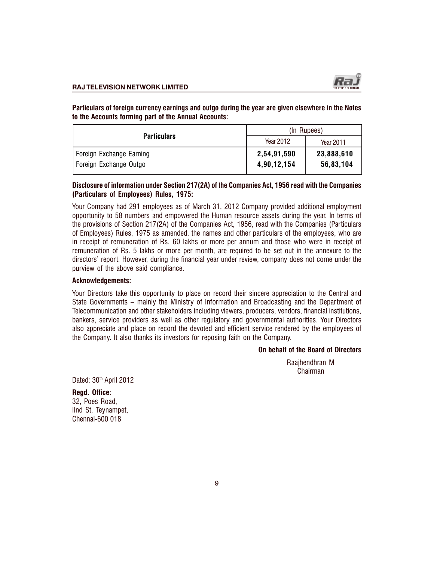

Particulars of foreign currency earnings and outgo during the year are given elsewhere in the Notes to the Accounts forming part of the Annual Accounts:

|                          | (In Rupees) |            |  |
|--------------------------|-------------|------------|--|
| <b>Particulars</b>       | Year 2012   | Year 2011  |  |
| Foreign Exchange Earning | 2,54,91,590 | 23,888,610 |  |
| Foreign Exchange Outgo   | 4,90,12,154 | 56,83,104  |  |

### Disclosure of information under Section 217(2A) of the Companies Act, 1956 read with the Companies (Particulars of Employees) Rules, 1975:

Your Company had 291 employees as of March 31, 2012 Company provided additional employment opportunity to 58 numbers and empowered the Human resource assets during the year. In terms of the provisions of Section 217(2A) of the Companies Act, 1956, read with the Companies (Particulars of Employees) Rules, 1975 as amended, the names and other particulars of the employees, who are in receipt of remuneration of Rs. 60 lakhs or more per annum and those who were in receipt of remuneration of Rs. 5 lakhs or more per month, are required to be set out in the annexure to the directors' report. However, during the financial year under review, company does not come under the purview of the above said compliance.

## Acknowledgements:

Your Directors take this opportunity to place on record their sincere appreciation to the Central and State Governments – mainly the Ministry of Information and Broadcasting and the Department of Telecommunication and other stakeholders including viewers, producers, vendors, financial institutions, bankers, service providers as well as other regulatory and governmental authorities. Your Directors also appreciate and place on record the devoted and efficient service rendered by the employees of the Company. It also thanks its investors for reposing faith on the Company.

#### On behalf of the Board of Directors

Raajhendhran M Chairman

Dated: 30<sup>th</sup> April 2012

Regd. Office: 32, Poes Road, IInd St, Teynampet, Chennai-600 018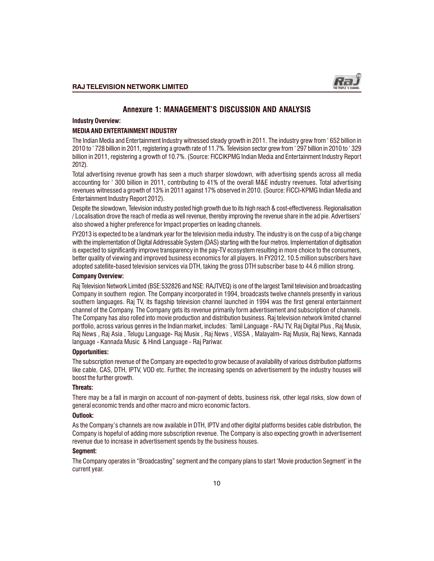# Annexure 1: MANAGEMENT'S DISCUSSION AND ANALYSIS

#### Industry Overview:

#### MEDIA AND ENTERTAINMENT INDUSTRY

The Indian Media and Entertainment Industry witnessed steady growth in 2011. The industry grew from 652 billion in 2010 to 728 billion in 2011, registering a growth rate of 11.7%. Television sector grew from 297 billion in 2010 to 329 billion in 2011, registering a growth of 10.7%. (Source: FICCIKPMG Indian Media and Entertainment Industry Report 2012).

Total advertising revenue growth has seen a much sharper slowdown, with advertising spends across all media accounting for '300 billion in 2011, contributing to 41% of the overall M&E industry revenues. Total advertising revenues witnessed a growth of 13% in 2011 against 17% observed in 2010. (Source: FICCI-KPMG Indian Media and Entertainment Industry Report 2012).

Despite the slowdown, Television industry posted high growth due to its high reach & cost-effectiveness. Regionalisation / Localisation drove the reach of media as well revenue, thereby improving the revenue share in the ad pie. Advertisers also showed a higher preference for Impact properties on leading channels.

FY2013 is expected to be a landmark year for the television media industry. The industry is on the cusp of a big change with the implementation of Digital Addressable System (DAS) starting with the four metros. Implementation of digitisation is expected to significantly improve transparency in the pay-TV ecosystem resulting in more choice to the consumers, better quality of viewing and improved business economics for all players. In FY2012, 10.5 million subscribers have adopted satellite-based television services via DTH, taking the gross DTH subscriber base to 44.6 million strong.

#### Company Overview:

Raj Television Network Limited (BSE:532826 and NSE: RAJTVEQ) is one of the largest Tamil television and broadcasting Company in southern region. The Company incorporated in 1994, broadcasts twelve channels presently in various southern languages. Raj TV, its flagship television channel launched in 1994 was the first general entertainment channel of the Company. The Company gets its revenue primarily form advertisement and subscription of channels. The Company has also rolled into movie production and distribution business. Raj television network limited channel portfolio, across various genres in the Indian market, includes: Tamil Language - RAJ TV, Raj Digital Plus , Raj Musix, Raj News , Raj Asia , Telugu Language- Raj Musix , Raj News , VISSA , Malayalm- Raj Musix, Raj News, Kannada language - Kannada Music & Hindi Language - Raj Pariwar.

#### Opportunities:

The subscription revenue of the Company are expected to grow because of availability of various distribution platforms like cable, CAS, DTH, IPTV, VOD etc. Further, the increasing spends on advertisement by the industry houses will boost the further growth.

#### Threats:

There may be a fall in margin on account of non-payment of debts, business risk, other legal risks, slow down of general economic trends and other macro and micro economic factors.

#### Outlook:

As the Company's channels are now available in DTH, IPTV and other digital platforms besides cable distribution, the Company is hopeful of adding more subscription revenue. The Company is also expecting growth in advertisement revenue due to increase in advertisement spends by the business houses.

#### Segment:

The Company operates in "Broadcasting" segment and the company plans to start 'Movie production Segment' in the current year.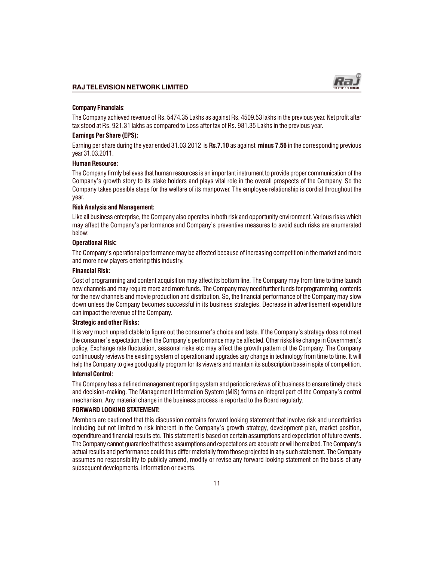

#### Company Financials:

The Company achieved revenue of Rs. 5474.35 Lakhs as against Rs. 4509.53 lakhs in the previous year. Net profit after tax stood at Rs. 921.31 lakhs as compared to Loss after tax of Rs. 981.35 Lakhs in the previous year.

#### Earnings Per Share (EPS):

Earning per share during the year ended 31.03.2012 is Rs.7.10 as against minus 7.56 in the corresponding previous year 31.03.2011.

#### Human Resource:

The Company firmly believes that human resources is an important instrument to provide proper communication of the Company's growth story to its stake holders and plays vital role in the overall prospects of the Company. So the Company takes possible steps for the welfare of its manpower. The employee relationship is cordial throughout the year.

#### Risk Analysis and Management:

Like all business enterprise, the Company also operates in both risk and opportunity environment. Various risks which may affect the Company's performance and Company's preventive measures to avoid such risks are enumerated below:

#### Operational Risk:

The Company's operational performance may be affected because of increasing competition in the market and more and more new players entering this industry.

#### Financial Risk:

Cost of programming and content acquisition may affect its bottom line. The Company may from time to time launch new channels and may require more and more funds. The Company may need further funds for programming, contents for the new channels and movie production and distribution. So, the financial performance of the Company may slow down unless the Company becomes successful in its business strategies. Decrease in advertisement expenditure can impact the revenue of the Company.

#### Strategic and other Risks:

It is very much unpredictable to figure out the consumer's choice and taste. If the Company's strategy does not meet the consumer's expectation, then the Company's performance may be affected. Other risks like change in Government's policy, Exchange rate fluctuation, seasonal risks etc may affect the growth pattern of the Company. The Company continuously reviews the existing system of operation and upgrades any change in technology from time to time. It will help the Company to give good quality program for its viewers and maintain its subscription base in spite of competition.

#### Internal Control:

The Company has a defined management reporting system and periodic reviews of it business to ensure timely check and decision-making. The Management Information System (MIS) forms an integral part of the Company's control mechanism. Any material change in the business process is reported to the Board regularly.

#### FORWARD LOOKING STATEMENT:

Members are cautioned that this discussion contains forward looking statement that involve risk and uncertainties including but not limited to risk inherent in the Company's growth strategy, development plan, market position, expenditure and financial results etc. This statement is based on certain assumptions and expectation of future events. The Company cannot guarantee that these assumptions and expectations are accurate or will be realized. The Company's actual results and performance could thus differ materially from those projected in any such statement. The Company assumes no responsibility to publicly amend, modify or revise any forward looking statement on the basis of any subsequent developments, information or events.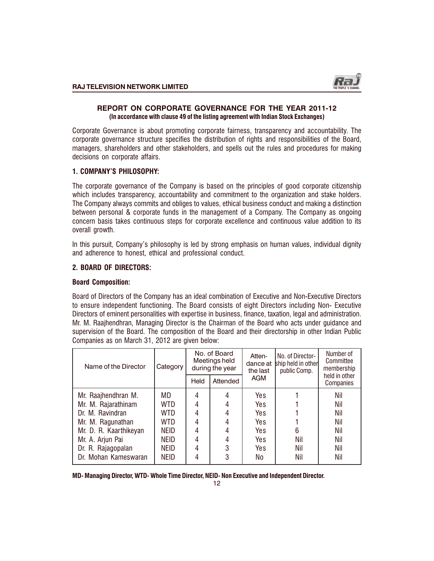# REPORT ON CORPORATE GOVERNANCE FOR THE YEAR 2011-12 (In accordance with clause 49 of the listing agreement with Indian Stock Exchanges)

Corporate Governance is about promoting corporate fairness, transparency and accountability. The corporate qovernance structure specifies the distribution of rights and responsibilities of the Board, managers, shareholders and other stakeholders, and spells out the rules and procedures for making decisions on corporate affairs.

# 1. COMPANYS PHILOSOPHY:

The corporate governance of the Company is based on the principles of good corporate citizenship which includes transparency, accountability and commitment to the organization and stake holders. The Company always commits and obliges to values, ethical business conduct and making a distinction between personal & corporate funds in the management of a Company. The Company as ongoing concern basis takes continuous steps for corporate excellence and continuous value addition to its overall growth.

In this pursuit, Company's philosophy is led by strong emphasis on human values, individual dignity and adherence to honest, ethical and professional conduct.

# 2. BOARD OF DIRECTORS:

# Board Composition:

Board of Directors of the Company has an ideal combination of Executive and Non-Executive Directors to ensure independent functioning. The Board consists of eight Directors including Non- Executive Directors of eminent personalities with expertise in business, finance, taxation, legal and administration. Mr. M. Raajhendhran, Managing Director is the Chairman of the Board who acts under guidance and supervision of the Board. The composition of the Board and their directorship in other Indian Public Companies as on March 31, 2012 are given below:

| Name of the Director   | Category    |      | No. of Board<br>Meetings held<br>during the year | Atten-<br>dance at<br>the last | No. of Director-<br>ship held in other<br>public Comp. | Number of<br>Committee<br>membership<br>held in other |
|------------------------|-------------|------|--------------------------------------------------|--------------------------------|--------------------------------------------------------|-------------------------------------------------------|
|                        |             | Held | Attended                                         | AGM                            |                                                        | Companies                                             |
| Mr. Raajhendhran M.    | MD          | 4    | 4                                                | Yes                            |                                                        | Nil                                                   |
| Mr. M. Rajarathinam    | WTD         | 4    | 4                                                | Yes                            |                                                        | Nil                                                   |
| Dr. M. Ravindran       | WTD         | 4    | 4                                                | Yes                            |                                                        | Nil                                                   |
| Mr. M. Ragunathan      | WTD         | 4    | 4                                                | Yes                            |                                                        | Nil                                                   |
| Mr. D. R. Kaarthikeyan | <b>NEID</b> | 4    | 4                                                | Yes                            | 6                                                      | Nil                                                   |
| Mr. A. Arjun Pai       | <b>NEID</b> | 4    | 4                                                | Yes                            | Nil                                                    | Nil                                                   |
| Dr. R. Rajagopalan     | <b>NEID</b> | 4    | 3                                                | Yes                            | Nil                                                    | Nil                                                   |
| Dr. Mohan Kameswaran   | <b>NEID</b> | 4    | 3                                                | No                             | Nil                                                    | Nil                                                   |

MD- Managing Director, WTD- Whole Time Director, NEID- Non Executive and Independent Director.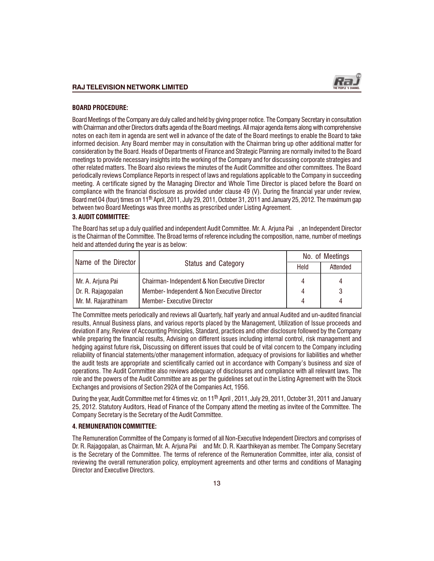

#### BOARD PROCEDURE:

Board Meetings of the Company are duly called and held by giving proper notice. The Company Secretary in consultation with Chairman and other Directors drafts agenda of the Board meetings. All major agenda items along with comprehensive notes on each item in agenda are sent well in advance of the date of the Board meetings to enable the Board to take informed decision. Any Board member may in consultation with the Chairman bring up other additional matter for consideration by the Board. Heads of Departments of Finance and Strategic Planning are normally invited to the Board meetings to provide necessary insights into the working of the Company and for discussing corporate strategies and other related matters. The Board also reviews the minutes of the Audit Committee and other committees. The Board periodically reviews Compliance Reports in respect of laws and regulations applicable to the Company in succeeding meeting. A certificate signed by the Managing Director and Whole Time Director is placed before the Board on compliance with the financial disclosure as provided under clause 49 (V). During the financial year under review, Board met 04 (four) times on 11<sup>th</sup> April, 2011, July 29, 2011, October 31, 2011 and January 25, 2012. The maximum gap between two Board Meetings was three months as prescribed under Listing Agreement.

#### 3. AUDIT COMMITTEE:

The Board has set up a duly qualified and independent Audit Committee. Mr. A. Arjuna Pai , an Independent Director is the Chairman of the Committee. The Broad terms of reference including the composition, name, number of meetings held and attended during the year is as below:

|                      |                                               | No. of Meetings |          |
|----------------------|-----------------------------------------------|-----------------|----------|
| Name of the Director | <b>Status and Category</b>                    | Held            | Attended |
| Mr. A. Arjuna Pai    | Chairman-Independent & Non Executive Director | 4               |          |
| Dr. R. Rajagopalan   | Member-Independent & Non Executive Director   | 4               |          |
| Mr. M. Rajarathinam  | <b>Member- Executive Director</b>             | 4               |          |

The Committee meets periodically and reviews all Quarterly, half yearly and annual Audited and un-audited financial results, Annual Business plans, and various reports placed by the Management, Utilization of Issue proceeds and deviation if any, Review of Accounting Principles, Standard, practices and other disclosure followed by the Company while preparing the financial results, Advising on different issues including internal control, risk management and hedging against future risk, Discussing on different issues that could be of vital concern to the Company including reliability of financial statements/other management information, adequacy of provisions for liabilities and whether the audit tests are appropriate and scientifically carried out in accordance with Company's business and size of operations. The Audit Committee also reviews adequacy of disclosures and compliance with all relevant laws. The role and the powers of the Audit Committee are as per the guidelines set out in the Listing Agreement with the Stock Exchanges and provisions of Section 292A of the Companies Act, 1956.

During the year, Audit Committee met for 4 times viz. on  $11<sup>th</sup>$  April, 2011, July 29, 2011, October 31, 2011 and January 25, 2012. Statutory Auditors, Head of Finance of the Company attend the meeting as invitee of the Committee. The Company Secretary is the Secretary of the Audit Committee.

#### 4. REMUNERATION COMMITTEE:

The Remuneration Committee of the Company is formed of all Non-Executive Independent Directors and comprises of Dr. R. Rajagopalan, as Chairman, Mr. A. Arjuna Pai and Mr. D. R. Kaarthikeyan as member. The Company Secretary is the Secretary of the Committee. The terms of reference of the Remuneration Committee, inter alia, consist of reviewing the overall remuneration policy, employment agreements and other terms and conditions of Managing Director and Executive Directors.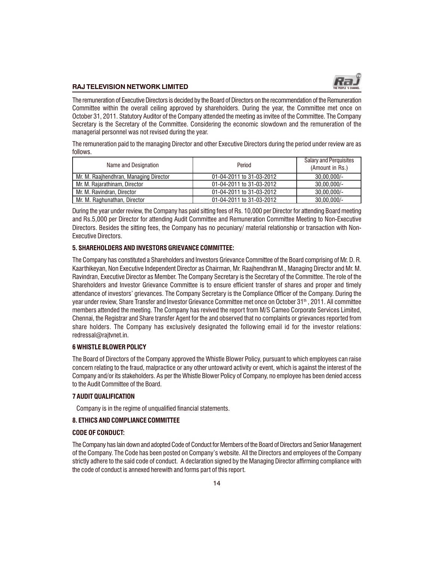

The remuneration of Executive Directors is decided by the Board of Directors on the recommendation of the Remuneration Committee within the overall ceiling approved by shareholders. During the year, the Committee met once on October 31, 2011. Statutory Auditor of the Company attended the meeting as invitee of the Committee. The Company Secretary is the Secretary of the Committee. Considering the economic slowdown and the remuneration of the managerial personnel was not revised during the year.

The remuneration paid to the managing Director and other Executive Directors during the period under review are as follows.

| Name and Designation                   | Period                   |                |
|----------------------------------------|--------------------------|----------------|
| Mr. M. Raajhendhran, Managing Director | 01-04-2011 to 31-03-2012 | $30.00.000/-$  |
| Mr. M. Raiarathinam. Director          | 01-04-2011 to 31-03-2012 | $30.00.000/-$  |
| Mr. M. Ravindran, Director             | 01-04-2011 to 31-03-2012 | $30,00,000/$ - |
| Mr. M. Raghunathan, Director           | 01-04-2011 to 31-03-2012 | $30,00,000/$ - |

During the year under review, the Company has paid sitting fees of Rs. 10,000 per Director for attending Board meeting and Rs.5,000 per Director for attending Audit Committee and Remuneration Committee Meeting to Non-Executive Directors. Besides the sitting fees, the Company has no pecuniary/ material relationship or transaction with Non-Executive Directors.

#### 5. SHAREHOLDERS AND INVESTORS GRIEVANCE COMMITTEE:

The Company has constituted a Shareholders and Investors Grievance Committee of the Board comprising of Mr. D. R. Kaarthikeyan, Non Executive Independent Director as Chairman, Mr. Raajhendhran M., Managing Director and Mr. M. Ravindran, Executive Director as Member. The Company Secretary is the Secretary of the Committee. The role of the Shareholders and Investor Grievance Committee is to ensure efficient transfer of shares and proper and timely attendance of investors' grievances. The Company Secretary is the Compliance Officer of the Company. During the year under review, Share Transfer and Investor Grievance Committee met once on October 31th , 2011. All committee members attended the meeting. The Company has revived the report from M/S Cameo Corporate Services Limited, Chennai, the Registrar and Share transfer Agent for the and observed that no complaints or grievances reported from share holders. The Company has exclusively designated the following email id for the investor relations: redressal@rajtvnet.in.

#### 6 WHISTLE BLOWER POLICY

The Board of Directors of the Company approved the Whistle Blower Policy, pursuant to which employees can raise concern relating to the fraud, malpractice or any other untoward activity or event, which is against the interest of the Company and/or its stakeholders. As per the Whistle Blower Policy of Company, no employee has been denied access to the Audit Committee of the Board.

#### 7 AUDIT QUALIFICATION

Company is in the regime of unqualified financial statements.

#### 8. ETHICS AND COMPLIANCE COMMITTEE

#### CODE OF CONDUCT:

The Company has lain down and adopted Code of Conduct for Members of the Board of Directors and Senior Management of the Company. The Code has been posted on Company's website. All the Directors and employees of the Company strictly adhere to the said code of conduct. A declaration signed by the Managing Director affirming compliance with the code of conduct is annexed herewith and forms part of this report.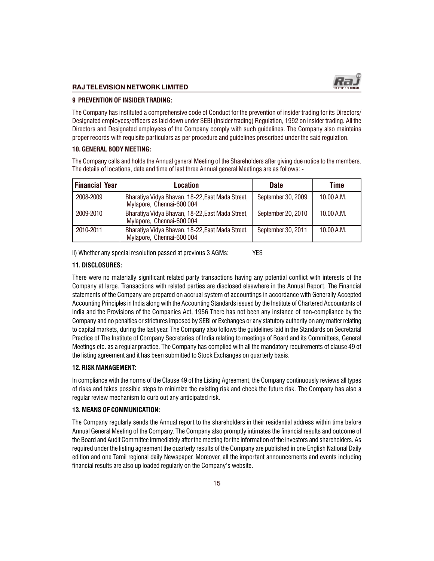

#### 9 PREVENTION OF INSIDER TRADING:

The Company has instituted a comprehensive code of Conduct for the prevention of insider trading for its Directors/ Designated employees/officers as laid down under SEBI (Insider trading) Regulation, 1992 on insider trading. All the Directors and Designated employees of the Company comply with such guidelines. The Company also maintains proper records with requisite particulars as per procedure and guidelines prescribed under the said regulation.

#### 10. GENERAL BODY MEETING:

The Company calls and holds the Annual general Meeting of the Shareholders after giving due notice to the members. The details of locations, date and time of last three Annual general Meetings are as follows: -

| <b>Financial Year</b> | Location                                                                      | <b>Date</b>        | Time       |
|-----------------------|-------------------------------------------------------------------------------|--------------------|------------|
| 2008-2009             | Bharatiya Vidya Bhavan, 18-22, East Mada Street,<br>Mylapore, Chennai-600 004 | September 30, 2009 | 10.00 A.M. |
| 2009-2010             | Bharatiya Vidya Bhavan, 18-22, East Mada Street,<br>Mylapore, Chennai-600 004 | September 20, 2010 | 10.00 A.M. |
| 2010-2011             | Bharatiya Vidya Bhavan, 18-22, East Mada Street,<br>Mylapore, Chennai-600 004 | September 30, 2011 | 10.00 A.M. |

ii) Whether any special resolution passed at previous 3 AGMs: YES

### 11. DISCLOSURES:

There were no materially significant related party transactions having any potential conflict with interests of the Company at large. Transactions with related parties are disclosed elsewhere in the Annual Report. The Financial statements of the Company are prepared on accrual system of accountings in accordance with Generally Accepted Accounting Principles in India along with the Accounting Standards issued by the Institute of Chartered Accountants of India and the Provisions of the Companies Act, 1956 There has not been any instance of non-compliance by the Company and no penalties or strictures imposed by SEBI or Exchanges or any statutory authority on any matter relating to capital markets, during the last year. The Company also follows the guidelines laid in the Standards on Secretarial Practice of The Institute of Company Secretaries of India relating to meetings of Board and its Committees, General Meetings etc. as a regular practice. The Company has complied with all the mandatory requirements of clause 49 of the listing agreement and it has been submitted to Stock Exchanges on quarterly basis.

### 12. RISK MANAGEMENT:

In compliance with the norms of the Clause 49 of the Listing Agreement, the Company continuously reviews all types of risks and takes possible steps to minimize the existing risk and check the future risk. The Company has also a regular review mechanism to curb out any anticipated risk.

### 13. MEANS OF COMMUNICATION:

The Company regularly sends the Annual report to the shareholders in their residential address within time before Annual General Meeting of the Company. The Company also promptly intimates the financial results and outcome of the Board and Audit Committee immediately after the meeting for the information of the investors and shareholders. As required under the listing agreement the quarterly results of the Company are published in one English National Daily edition and one Tamil regional daily Newspaper. Moreover, all the important announcements and events including financial results are also up loaded regularly on the Company's website.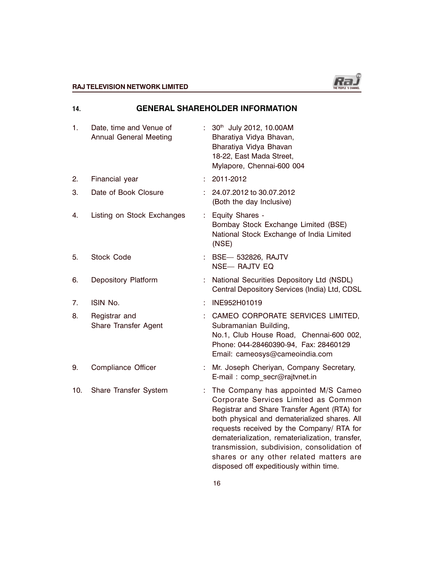

# $\begin{picture}(180,190) \put(0,0){\vector(1,0){100}} \put(1,0){\vector(1,0){100}} \put(1,0){\vector(1,0){100}} \put(1,0){\vector(1,0){100}} \put(1,0){\vector(1,0){100}} \put(1,0){\vector(1,0){100}} \put(1,0){\vector(1,0){100}} \put(1,0){\vector(1,0){100}} \put(1,0){\vector(1,0){100}} \put(1,0){\vector(1,0){100}} \put(1,0){\vector(1,0){100}} \put(1,0){\vector$

| 14. |                                                   |    | <b>GENERAL SHAREHOLDER INFORMATION</b>                                                                                                                                                                                                                                                                                                                                                                           |
|-----|---------------------------------------------------|----|------------------------------------------------------------------------------------------------------------------------------------------------------------------------------------------------------------------------------------------------------------------------------------------------------------------------------------------------------------------------------------------------------------------|
| 1.  | Date, time and Venue of<br>Annual General Meeting |    | : 30th July 2012, 10.00AM<br>Bharatiya Vidya Bhavan,<br>Bharatiya Vidya Bhavan<br>18-22, East Mada Street,<br>Mylapore, Chennai-600 004                                                                                                                                                                                                                                                                          |
| 2.  | Financial year                                    | ÷  | 2011-2012                                                                                                                                                                                                                                                                                                                                                                                                        |
| 3.  | Date of Book Closure                              | ÷  | 24.07.2012 to 30.07.2012<br>(Both the day Inclusive)                                                                                                                                                                                                                                                                                                                                                             |
| 4.  | Listing on Stock Exchanges                        | ÷  | Equity Shares -<br>Bombay Stock Exchange Limited (BSE)<br>National Stock Exchange of India Limited<br>(NSE)                                                                                                                                                                                                                                                                                                      |
| 5.  | <b>Stock Code</b>                                 | ÷  | <b>BSE-632826, RAJTV</b><br><b>NSE- RAJTV EQ</b>                                                                                                                                                                                                                                                                                                                                                                 |
| 6.  | Depository Platform                               | ÷  | National Securities Depository Ltd (NSDL)<br>Central Depository Services (India) Ltd, CDSL                                                                                                                                                                                                                                                                                                                       |
| 7.  | ISIN No.                                          | ÷  | INE952H01019                                                                                                                                                                                                                                                                                                                                                                                                     |
| 8.  | Registrar and<br>Share Transfer Agent             | t  | CAMEO CORPORATE SERVICES LIMITED,<br>Subramanian Building,<br>No.1, Club House Road, Chennai-600 002,<br>Phone: 044-28460390-94, Fax: 28460129<br>Email: cameosys@cameoindia.com                                                                                                                                                                                                                                 |
| 9.  | Compliance Officer                                |    | Mr. Joseph Cheriyan, Company Secretary,<br>E-mail : comp secr@rajtvnet.in                                                                                                                                                                                                                                                                                                                                        |
| 10. | Share Transfer System                             | ÷. | The Company has appointed M/S Cameo<br>Corporate Services Limited as Common<br>Registrar and Share Transfer Agent (RTA) for<br>both physical and dematerialized shares. All<br>requests received by the Company/ RTA for<br>dematerialization, rematerialization, transfer,<br>transmission, subdivision, consolidation of<br>shares or any other related matters are<br>disposed off expeditiously within time. |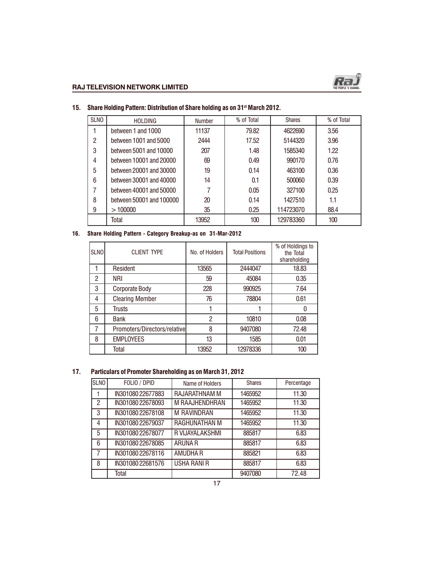

| <b>SLNO</b> | <b>HOLDING</b>           | <b>Number</b> | % of Total | <b>Shares</b> | % of Total |
|-------------|--------------------------|---------------|------------|---------------|------------|
|             | between 1 and 1000       | 11137         | 79.82      | 4622690       | 3.56       |
| 2           | between 1001 and 5000    | 2444          | 17.52      | 5144320       | 3.96       |
| 3           | between 5001 and 10000   | 207           | 1.48       | 1585340       | 1.22       |
| 4           | between 10001 and 20000  | 69            | 0.49       | 990170        | 0.76       |
| 5           | between 20001 and 30000  | 19            | 0.14       | 463100        | 0.36       |
| 6           | between 30001 and 40000  | 14            | 0.1        | 500060        | 0.39       |
|             | between 40001 and 50000  | 7             | 0.05       | 327100        | 0.25       |
| 8           | between 50001 and 100000 | 20            | 0.14       | 1427510       | 1.1        |
| 9           | >100000                  | 35            | 0.25       | 114723070     | 88.4       |
|             | Total                    | 13952         | 100        | 129783360     | 100        |

# 15. Share Holding Pattern: Distribution of Share holding as on 31<sup>st</sup> March 2012.

# 16. Share Holding Pattern - Category Breakup-as on 31-Mar-2012

| <b>SLNO</b> | <b>CLIENT TYPE</b>           | No. of Holders | <b>Total Positions</b> | % of Holdings to<br>the Total<br>shareholding |
|-------------|------------------------------|----------------|------------------------|-----------------------------------------------|
|             | Resident                     | 13565          | 2444047                | 18.83                                         |
| 2           | <b>NRI</b>                   | 59             | 45084                  | 0.35                                          |
| 3           | <b>Corporate Body</b>        | 228            | 990925                 | 7.64                                          |
| 4           | <b>Clearing Member</b>       | 76             | 78804                  | 0.61                                          |
| 5           | Trusts                       |                |                        |                                               |
| 6           | <b>Bank</b>                  | $\overline{c}$ | 10810                  | 0.08                                          |
| 7           | Promoters/Directors/relative | 8              | 9407080                | 72.48                                         |
| 8           | <b>EMPLOYEES</b>             | 13             | 1585                   | 0.01                                          |
|             | Total                        | 13952          | 12978336               | 100                                           |

# 17. Particulars of Promoter Shareholding as on March 31, 2012

| <b>SLNO</b>    | FOLIO / DPID      | Name of Holders      | <b>Shares</b> | Percentage |
|----------------|-------------------|----------------------|---------------|------------|
|                | IN301080 22677883 | <b>RAJARATHNAM M</b> | 1465952       | 11.30      |
| $\overline{c}$ | IN301080 22678093 | M RAAJHENDHRAN       | 1465952       | 11.30      |
| 3              | IN301080 22678108 | <b>M RAVINDRAN</b>   | 1465952       | 11.30      |
| 4              | IN301080 22679037 | RAGHUNATHAN M        | 1465952       | 11.30      |
| 5              | IN301080 22678077 | R VIJAYALAKSHMI      | 885817        | 6.83       |
| 6              | IN301080 22678085 | <b>ARUNA R</b>       | 885817        | 6.83       |
| 7              | IN301080 22678116 | AMUDHA R             | 885821        | 6.83       |
| 8              | IN301080 22681576 | <b>USHA RANI R</b>   | 885817        | 6.83       |
|                | Total             |                      | 9407080       | 72.48      |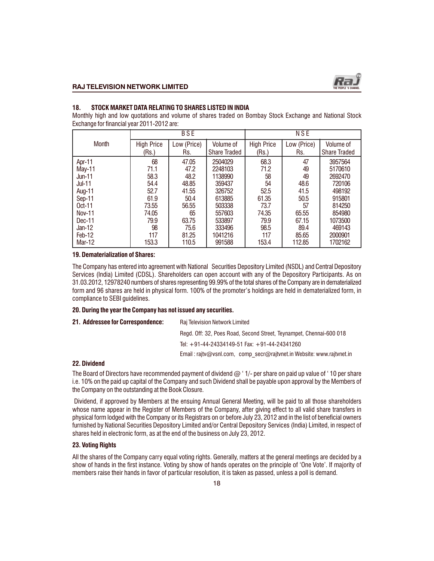

#### 18. STOCK MARKET DATA RELATING TO SHARES LISTED IN INDIA

Monthly high and low quotations and volume of shares traded on Bombay Stock Exchange and National Stock Exchange for financial year 2011-2012 are:

|               | <b>BSE</b>        |             |                     | NSE               |             |                     |
|---------------|-------------------|-------------|---------------------|-------------------|-------------|---------------------|
| <b>Month</b>  | <b>High Price</b> | Low (Price) | Volume of           | <b>High Price</b> | Low (Price) | Volume of           |
|               | (Rs.)             | Rs.         | <b>Share Traded</b> | (Rs.)             | Rs.         | <b>Share Traded</b> |
| Apr-11        | 68                | 47.05       | 2504029             | 68.3              | 47          | 3957564             |
| May-11        | 71.1              | 47.2        | 2248103             | 71.2              | 49          | 5170610             |
| Jun-11        | 58.3              | 48.2        | 1138990             | 58                | 49          | 2692470             |
| <b>Jul-11</b> | 54.4              | 48.85       | 359437              | 54                | 48.6        | 720106              |
| Aug-11        | 52.7              | 41.55       | 326752              | 52.5              | 41.5        | 498192              |
| Sep-11        | 61.9              | 50.4        | 613885              | 61.35             | 50.5        | 915801              |
| $Oct-11$      | 73.55             | 56.55       | 503338              | 73.7              | 57          | 814250              |
| Nov-11        | 74.05             | 65          | 557603              | 74.35             | 65.55       | 854980              |
| Dec-11        | 79.9              | 63.75       | 533897              | 79.9              | 67.15       | 1073500             |
| Jan-12        | 98                | 75.6        | 333496              | 98.5              | 89.4        | 469143              |
| Feb-12        | 117               | 81.25       | 1041216             | 117               | 85.65       | 2000901             |
| <b>Mar-12</b> | 153.3             | 110.5       | 991588              | 153.4             | 112.85      | 1702162             |

#### 19. Dematerialization of Shares:

The Company has entered into agreement with National Securities Depository Limited (NSDL) and Central Depository Services (India) Limited (CDSL). Shareholders can open account with any of the Depository Participants. As on 31.03.2012, 12978240 numbers of shares representing 99.99% of the total shares of the Company are in dematerialized form and 96 shares are held in physical form. 100% of the promoter's holdings are held in dematerialized form, in compliance to SEBI guidelines.

#### 20. During the year the Company has not issued any securities.

21. Addressee for Correspondence: Raj Television Network Limited

Regd. Off: 32, Poes Road, Second Street, Teynampet, Chennai-600 018

Tel: +91-44-24334149-51 Fax: +91-44-24341260

Email : rajtv@vsnl.com, comp\_secr@rajtvnet.in Website: www.rajtvnet.in

#### 22. Dividend

The Board of Directors have recommended payment of dividend  $@$  ' 1/- per share on paid up value of '10 per share i.e. 10% on the paid up capital of the Company and such Dividend shall be payable upon approval by the Members of the Company on the outstanding at the Book Closure.

 Dividend, if approved by Members at the ensuing Annual General Meeting, will be paid to all those shareholders whose name appear in the Register of Members of the Company, after giving effect to all valid share transfers in physical form lodged with the Company or its Registrars on or before July 23, 2012 and in the list of beneficial owners furnished by National Securities Depository Limited and/or Central Depository Services (India) Limited, in respect of shares held in electronic form, as at the end of the business on July 23, 2012.

#### 23. Voting Rights

All the shares of the Company carry equal voting rights. Generally, matters at the general meetings are decided by a show of hands in the first instance. Voting by show of hands operates on the principle of 'One Vote'. If majority of members raise their hands in favor of particular resolution, it is taken as passed, unless a poll is demand.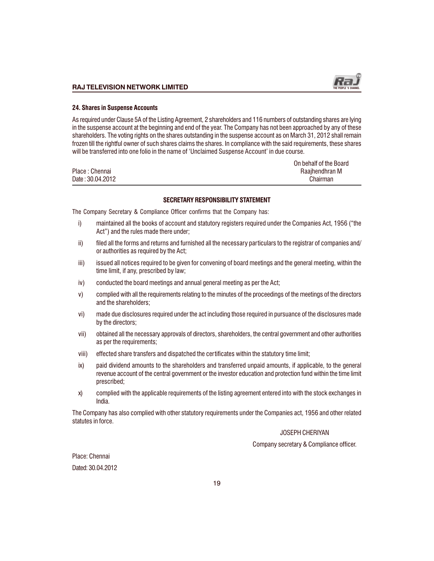

#### 24. Shares in Suspense Accounts

As required under Clause 5A of the Listing Agreement, 2 shareholders and 116 numbers of outstanding shares are lying in the suspense account at the beginning and end of the year. The Company has not been approached by any of these shareholders. The voting rights on the shares outstanding in the suspense account as on March 31, 2012 shall remain frozen till the rightful owner of such shares claims the shares. In compliance with the said requirements, these shares will be transferred into one folio in the name of 'Unclaimed Suspense Account' in due course.

|                  | On behalf of the Board |
|------------------|------------------------|
| Place: Chennai   | Raaihendhran M         |
| Date: 30.04.2012 | Chairman               |

#### SECRETARY RESPONSIBILITY STATEMENT

The Company Secretary & Compliance Officer confirms that the Company has:

- i) maintained all the books of account and statutory registers required under the Companies Act, 1956 ("the Act") and the rules made there under;
- $\mathbf i$  filed all the forms and returns and furnished all the necessary particulars to the registrar of companies and/ or authorities as required by the Act;
- iii) issued all notices required to be given for convening of board meetings and the general meeting, within the time limit, if any, prescribed by law;
- iv) conducted the board meetings and annual general meeting as per the Act;
- v) complied with all the requirements relating to the minutes of the proceedings of the meetings of the directors and the shareholders;
- vi) made due disclosures required under the act including those required in pursuance of the disclosures made by the directors;
- vii) obtained all the necessary approvals of directors, shareholders, the central government and other authorities as per the requirements;
- viii) effected share transfers and dispatched the certificates within the statutory time limit;
- ix) paid dividend amounts to the shareholders and transferred unpaid amounts, if applicable, to the general revenue account of the central government or the investor education and protection fund within the time limit prescribed;
- x) complied with the applicable requirements of the listing agreement entered into with the stock exchanges in India.

The Company has also complied with other statutory requirements under the Companies act, 1956 and other related statutes in force.

#### JOSEPH CHERIYAN

Company secretary & Compliance officer.

Place: Chennai Dated: 30.04.2012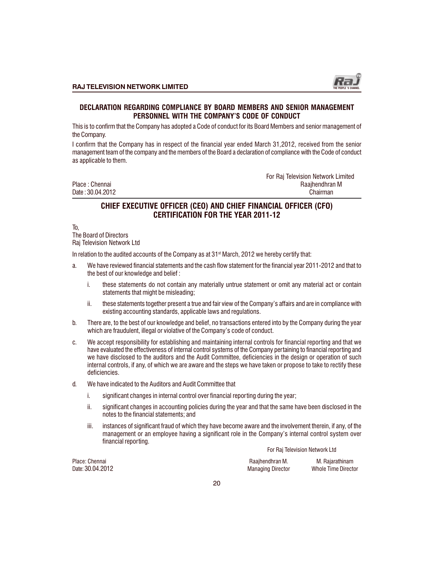

# DECLARATION REGARDING COMPLIANCE BY BOARD MEMBERS AND SENIOR MANAGEMENT PERSONNEL WITH THE COMPANY'S CODE OF CONDUCT

This is to confirm that the Company has adopted a Code of conduct for its Board Members and senior management of the Company.

I confirm that the Company has in respect of the financial year ended March 31,2012, received from the senior management team of the company and the members of the Board a declaration of compliance with the Code of conduct as applicable to them.

For Raj Television Network Limited Place : Chennai Raajhendhran M Date : 30.04.2012 Chairman

# CHIEF EXECUTIVE OFFICER (CEO) AND CHIEF FINANCIAL OFFICER (CFO) CERTIFICATION FOR THE YEAR 2011-12

To,

The Board of Directors Raj Television Network Ltd

In relation to the audited accounts of the Company as at 31<sup>st</sup> March, 2012 we hereby certify that:

- a. We have reviewed financial statements and the cash flow statement for the financial year 2011-2012 and that to the best of our knowledge and belief :
	- i. these statements do not contain any materially untrue statement or omit any material act or contain statements that might be misleading;
	- ii. these statements together present a true and fair view of the Company's affairs and are in compliance with existing accounting standards, applicable laws and regulations.
- b. There are, to the best of our knowledge and belief, no transactions entered into by the Company during the year which are fraudulent, illegal or violative of the Company's code of conduct.
- c. We accept responsibility for establishing and maintaining internal controls for financial reporting and that we have evaluated the effectiveness of internal control systems of the Company pertaining to financial reporting and we have disclosed to the auditors and the Audit Committee, deficiencies in the design or operation of such internal controls, if any, of which we are aware and the steps we have taken or propose to take to rectify these deficiencies.
- d. We have indicated to the Auditors and Audit Committee that
	- i. significant changes in internal control over financial reporting during the year;
	- ii. significant changes in accounting policies during the year and that the same have been disclosed in the notes to the financial statements; and
	- iii. instances of significant fraud of which they have become aware and the involvement therein, if any, of the management or an employee having a significant role in the Company's internal control system over financial reporting.

For Raj Television Network Ltd

Place: Chennai Raajhendhran M. M. Rajarathinam Whole Time Director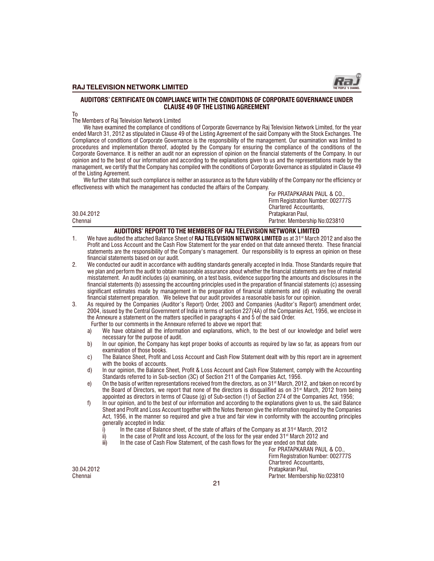

#### AUDITORS CERTIFICATE ON COMPLIANCE WITH THE CONDITIONS OF CORPORATE GOVERNANCE UNDER CLAUSE 49 OF THE LISTING AGREEMENT

To

The Members of Raj Television Network Limited

We have examined the compliance of conditions of Corporate Governance by Raj Television Network Limited, for the year ended March 31, 2012 as stipulated in Clause 49 of the Listing Agreement of the said Company with the Stock Exchanges. The Compliance of conditions of Corporate Governance is the responsibility of the management. Our examination was limited to procedures and implementation thereof, adopted by the Company for ensuring the compliance of the conditions of the Corporate Governance. It is neither an audit nor an expression of opinion on the financial statements of the Company. In our opinion and to the best of our information and according to the explanations given to us and the representations made by the management, we certify that the Company has compiled with the conditions of Corporate Governance as stipulated in Clause 49 of the Listing Agreement.

We further state that such compliance is neither an assurance as to the future viability of the Company nor the efficiency or effectiveness with which the management has conducted the affairs of the Company.

| Chennai    | Partner. Membership No:023810 |
|------------|-------------------------------|
| 30.04.2012 | Pratapkaran Paul,             |
|            | Chartered Accountants,        |

#### AUDITORS' REPORT TO THE MEMBERS OF RAJ TELEVISION NETWORK LIMITED

- 1. We have audited the attached Balance Sheet of RAJ TELEVISION NETWORK LIMITED as at 31<sup>st</sup> March 2012 and also the Profit and Loss Account and the Cash Flow Statement for the year ended on that date annexed thereto. These financial statements are the responsibility of the Company's management. Our responsibility is to express an opinion on these financial statements based on our audit.
- 2. We conducted our audit in accordance with auditing standards generally accepted in India. Those Standards require that we plan and perform the audit to obtain reasonable assurance about whether the financial statements are free of material misstatement. An audit includes (a) examining, on a test basis, evidence supporting the amounts and disclosures in the financial statements (b) assessing the accounting principles used in the preparation of financial statements (c) assessing significant estimates made by management in the preparation of financial statements and (d) evaluating the overall financial statement preparation. We believe that our audit provides a reasonable basis for our opinion.
- 3. As required by the Companies (Auditor's Report) Order, 2003 and Companies (Auditor's Report) amendment order, 2004, issued by the Central Government of India in terms of section 227(4A) of the Companies Act, 1956, we enclose in the Annexure a statement on the matters specified in paragraphs 4 and 5 of the said Order.
	- Further to our comments in the Annexure referred to above we report that:
	- a) We have obtained all the information and explanations, which, to the best of our knowledge and belief were necessary for the purpose of audit.
	- b) In our opinion, the Company has kept proper books of accounts as required by law so far, as appears from our examination of those books.
	- c) The Balance Sheet, Profit and Loss Account and Cash Flow Statement dealt with by this report are in agreement with the books of accounts.
	- d) In our opinion, the Balance Sheet, Profit & Loss Account and Cash Flow Statement, comply with the Accounting Standards referred to in Sub-section (3C) of Section 211 of the Companies Act, 1956.
	- e) On the basis of written representations received from the directors, as on  $31<sup>st</sup>$  March, 2012, and taken on record by the Board of Directors, we report that none of the directors is disqualified as on 31<sup>st</sup> March, 2012 from being appointed as directors in terms of Clause (g) of Sub-section (1) of Section 274 of the Companies Act, 1956;
	- f) In our opinion, and to the best of our information and according to the explanations given to us, the said Balance Sheet and Profit and Loss Account together with the Notes thereon give the information required by the Companies Act, 1956, in the manner so required and give a true and fair view in conformity with the accounting principles generally accepted in India:
		- i) In the case of Balance sheet, of the state of affairs of the Company as at 31st March, 2012<br>ii) In the case of Profit and loss Account, of the loss for the vear ended 31st March 2012 and
		- ii) In the case of Profit and loss Account, of the loss for the year ended 31st March 2012 and iii) In the case of Cash Flow Statement, of the cash flows for the year ended on that date.
		- In the case of Cash Flow Statement, of the cash flows for the year ended on that date.

For PRATAPKARAN PAUL & CO., Firm Registration Number: 002777S Chartered Accountants, 30.04.2012 Pratapkaran Paul, Partner. Membership No:023810

For PRATAPKARAN PAUL & CO., Firm Registration Number: 002777S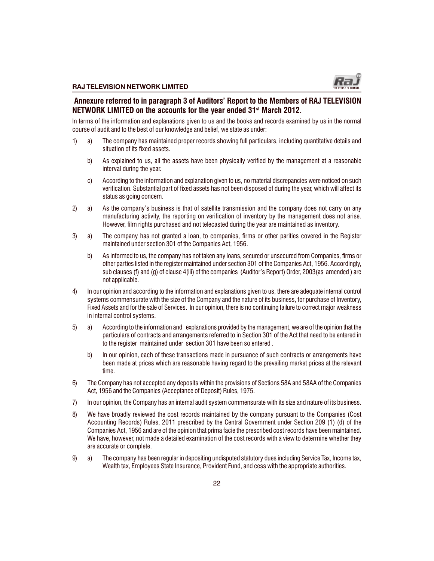

# Annexure referred to in paragraph 3 of Auditors' Report to the Members of RAJ TELEVISION NETWORK LIMITED on the accounts for the year ended 31<sup>st</sup> March 2012.

In terms of the information and explanations given to us and the books and records examined by us in the normal course of audit and to the best of our knowledge and belief, we state as under:

- 1) a) The company has maintained proper records showing full particulars, including quantitative details and situation of its fixed assets.
	- b) As explained to us, all the assets have been physically verified by the management at a reasonable interval during the year.
	- c) According to the information and explanation given to us, no material discrepancies were noticed on such verification. Substantial part of fixed assets has not been disposed of during the year, which will affect its status as going concern.
- 2) a) As the company's business is that of satellite transmission and the company does not carry on any manufacturing activity, the reporting on verification of inventory by the management does not arise. However, film rights purchased and not telecasted during the year are maintained as inventory.
- 3) a) The company has not granted a loan, to companies, firms or other parities covered in the Register maintained under section 301 of the Companies Act, 1956.
	- b) As informed to us, the company has not taken any loans, secured or unsecured from Companies, firms or other parties listed in the register maintained under section 301 of the Companies Act, 1956. Accordingly, sub clauses (f) and (g) of clause 4(iii) of the companies (Auditor's Report) Order, 2003(as amended) are not applicable.
- 4) In our opinion and according to the information and explanations given to us, there are adequate internal control systems commensurate with the size of the Company and the nature of its business, for purchase of Inventory, Fixed Assets and for the sale of Services. In our opinion, there is no continuing failure to correct major weakness in internal control systems.
- 5) a) According to the information and explanations provided by the management, we are of the opinion that the particulars of contracts and arrangements referred to in Section 301 of the Act that need to be entered in to the register maintained under section 301 have been so entered .
	- b) In our opinion, each of these transactions made in pursuance of such contracts or arrangements have been made at prices which are reasonable having regard to the prevailing market prices at the relevant time.
- 6) The Company has not accepted any deposits within the provisions of Sections 58A and 58AA of the Companies Act, 1956 and the Companies (Acceptance of Deposit) Rules, 1975.
- 7) In our opinion, the Company has an internal audit system commensurate with its size and nature of its business.
- 8) We have broadly reviewed the cost records maintained by the company pursuant to the Companies (Cost Accounting Records) Rules, 2011 prescribed by the Central Government under Section 209 (1) (d) of the Companies Act, 1956 and are of the opinion that prima facie the prescribed cost records have been maintained. We have, however, not made a detailed examination of the cost records with a view to determine whether they are accurate or complete.
- 9) a) The company has been regular in depositing undisputed statutory dues including Service Tax, Income tax, Wealth tax, Employees State Insurance, Provident Fund, and cess with the appropriate authorities.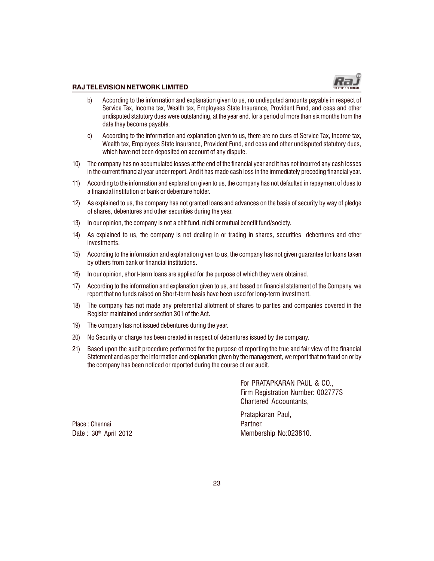

- b) According to the information and explanation given to us, no undisputed amounts payable in respect of Service Tax, Income tax, Wealth tax, Employees State Insurance, Provident Fund, and cess and other undisputed statutory dues were outstanding, at the year end, for a period of more than six months from the date they become payable.
- c) According to the information and explanation given to us, there are no dues of Service Tax, Income tax, Wealth tax, Employees State Insurance, Provident Fund, and cess and other undisputed statutory dues, which have not been deposited on account of any dispute.
- 10) The company has no accumulated losses at the end of the financial year and it has not incurred any cash losses in the current financial year under report. And it has made cash loss in the immediately preceding financial year.
- 11) According to the information and explanation given to us, the company has not defaulted in repayment of dues to a financial institution or bank or debenture holder.
- 12) As explained to us, the company has not granted loans and advances on the basis of security by way of pledge of shares, debentures and other securities during the year.
- 13) In our opinion, the company is not a chit fund, nidhi or mutual benefit fund/society.
- 14) As explained to us, the company is not dealing in or trading in shares, securities debentures and other investments.
- 15) According to the information and explanation given to us, the company has not given guarantee for loans taken by others from bank or financial institutions.
- 16) In our opinion, short-term loans are applied for the purpose of which they were obtained.
- 17) According to the information and explanation given to us, and based on financial statement of the Company, we report that no funds raised on Short-term basis have been used for long-term investment.
- 18) The company has not made any preferential allotment of shares to parties and companies covered in the Register maintained under section 301 of the Act.
- 19) The company has not issued debentures during the year.
- 20) No Security or charge has been created in respect of debentures issued by the company.
- 21) Based upon the audit procedure performed for the purpose of reporting the true and fair view of the financial Statement and as per the information and explanation given by the management, we report that no fraud on or by the company has been noticed or reported during the course of our audit.

For PRATAPKARAN PAUL & CO., Firm Registration Number: 002777S Chartered Accountants,

Place : Chennai Partner.

Pratapkaran Paul, Date:  $30<sup>th</sup>$  April 2012 Membership No:023810.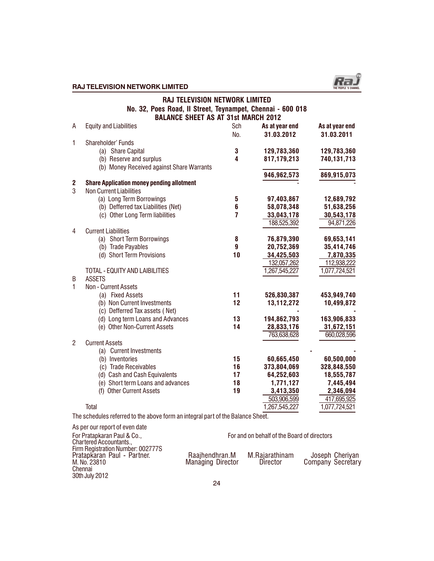

# $\begin{picture}(180,190) \put(0,0){\vector(1,0){100}} \put(1,0){\vector(1,0){100}} \put(1,0){\vector(1,0){100}} \put(1,0){\vector(1,0){100}} \put(1,0){\vector(1,0){100}} \put(1,0){\vector(1,0){100}} \put(1,0){\vector(1,0){100}} \put(1,0){\vector(1,0){100}} \put(1,0){\vector(1,0){100}} \put(1,0){\vector(1,0){100}} \put(1,0){\vector(1,0){100}} \put(1,0){\vector$

|                | <b>RAJ TELEVISION NETWORK LIMITED</b><br>No. 32, Poes Road, Il Street, Teynampet, Chennai - 600 018<br><b>BALANCE SHEET AS AT 31st MARCH 2012</b> |     |                           |                          |
|----------------|---------------------------------------------------------------------------------------------------------------------------------------------------|-----|---------------------------|--------------------------|
| A              | <b>Equity and Liabilities</b>                                                                                                                     | Sch | As at year end            | As at year end           |
|                |                                                                                                                                                   | No. | 31.03.2012                | 31.03.2011               |
| 1              | Shareholder' Funds                                                                                                                                |     |                           |                          |
|                | (a) Share Capital                                                                                                                                 | 3   | 129,783,360               | 129,783,360              |
|                | (b) Reserve and surplus                                                                                                                           | 4   | 817,179,213               | 740,131,713              |
|                | (b) Money Received against Share Warrants                                                                                                         |     |                           |                          |
|                |                                                                                                                                                   |     | 946,962,573               | 869,915,073              |
| 2              | <b>Share Application money pending allotment</b>                                                                                                  |     |                           |                          |
| 3              | <b>Non Current Liabilities</b>                                                                                                                    |     |                           |                          |
|                | (a) Long Term Borrowings                                                                                                                          | 5   | 97,403,867                | 12,689,792               |
|                | (b) Defferred tax Liabilities (Net)                                                                                                               | 6   | 58,078,348                | 51,638,256               |
|                | (c) Other Long Term liabilities                                                                                                                   | 7   | 33,043,178                | 30,543,178               |
|                |                                                                                                                                                   |     | 188,525,392               | 94,871,226               |
| 4              | <b>Current Liabilities</b>                                                                                                                        |     |                           |                          |
|                | (a) Short Term Borrowings                                                                                                                         | 8   | 76,879,390                | 69,653,141               |
|                | (b) Trade Payables                                                                                                                                | 9   | 20,752,369                | 35,414,746               |
|                | (d) Short Term Provisions                                                                                                                         | 10  | 34,425,503<br>132,057,262 | 7,870,335<br>112,938,222 |
|                | TOTAL - EQUITY AND LAIBILITIES                                                                                                                    |     | 1,267,545,227             | 1,077,724,521            |
| B              | <b>ASSETS</b>                                                                                                                                     |     |                           |                          |
| $\mathbf{1}$   | Non - Current Assets                                                                                                                              |     |                           |                          |
|                | (a) Fixed Assets                                                                                                                                  | 11  | 526,830,387               | 453,949,740              |
|                | (b) Non Current Investments                                                                                                                       | 12  | 13,112,272                | 10,499,872               |
|                | (c) Defferred Tax assets (Net)                                                                                                                    |     |                           |                          |
|                | (d) Long term Loans and Advances                                                                                                                  | 13  | 194,862,793               | 163,906,833              |
|                | (e) Other Non-Current Assets                                                                                                                      | 14  | 28,833,176                | 31,672,151               |
|                |                                                                                                                                                   |     | 763,638,628               | 660,028,596              |
| $\overline{2}$ | <b>Current Assets</b>                                                                                                                             |     |                           |                          |
|                | (a) Current Investments                                                                                                                           |     |                           |                          |
|                | (b) Inventories                                                                                                                                   | 15  | 60,665,450                | 60,500,000               |
|                | (c) Trade Receivables                                                                                                                             | 16  | 373,804,069               | 328,848,550              |
|                | (d) Cash and Cash Equivalents                                                                                                                     | 17  | 64,252,603                | 18,555,787               |
|                | (e) Short term Loans and advances                                                                                                                 | 18  | 1,771,127                 | 7,445,494                |
|                | (f) Other Current Assets                                                                                                                          | 19  | 3,413,350                 | 2,346,094                |
|                |                                                                                                                                                   |     | 503,906,599               | 417,695,925              |
|                | Total                                                                                                                                             |     | 1,267,545,227             | 1,077,724,521            |

The schedules referred to the above form an integral part of the Balance Sheet.

| As per our report of even date                                                                                |                                     |                                             |                                      |
|---------------------------------------------------------------------------------------------------------------|-------------------------------------|---------------------------------------------|--------------------------------------|
| For Pratapkaran Paul & Co.,<br>Chartered Accountants                                                          |                                     | For and on behalf of the Board of directors |                                      |
| Firm Registration Number: 002777S<br>Pratapkaran Paul - Partner.<br>M. No. 23810<br>Chennai<br>30th July 2012 | Raajhendhran.M<br>Managing Director | M.Rajarathinam<br>Director                  | Joseph Cheriyan<br>Company Secretary |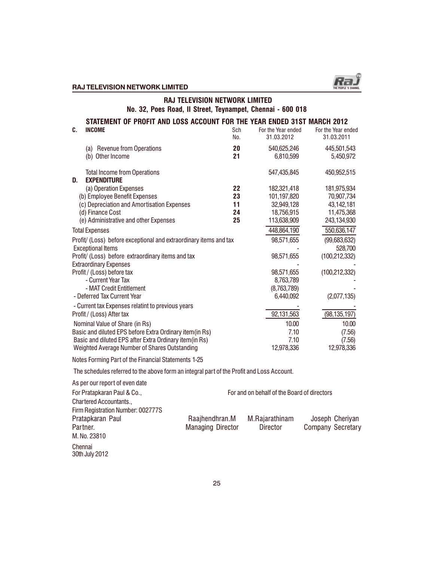

# $R$ AJ TELEVISION NETWORK LIMITED THE PEOPLE SECTION OF THE PEOPLE S CHANNEL S CHANNEL S CHANNEL S CHANNEL S CHANNEL S

# RAJ TELEVISION NETWORK LIMITED No. 32, Poes Road, II Street, Teynampet, Chennai - 600 018

| C. | STATEMENT OF PROFIT AND LOSS ACCOUNT FOR THE YEAR ENDED 31ST MARCH 2012<br><b>INCOME</b>      | Sch<br>No. | For the Year ended<br>31.03.2012 | For the Year ended<br>31.03.2011 |
|----|-----------------------------------------------------------------------------------------------|------------|----------------------------------|----------------------------------|
|    | (a) Revenue from Operations<br>(b) Other Income                                               | 20<br>21   | 540,625,246<br>6,810,599         | 445,501,543<br>5,450,972         |
| D. | <b>Total Income from Operations</b><br><b>EXPENDITURE</b>                                     |            | 547,435,845                      | 450,952,515                      |
|    | (a) Operation Expenses                                                                        | 22         | 182,321,418                      | 181,975,934                      |
|    | (b) Employee Benefit Expenses                                                                 | 23         | 101,197,820                      | 70,907,734                       |
|    | (c) Depreciation and Amortisation Expenses                                                    | 11         | 32,949,128                       | 43,142,181                       |
|    | (d) Finance Cost                                                                              | 24         | 18,756,915                       | 11,475,368                       |
|    | (e) Administrative and other Expenses                                                         | 25         | 113,638,909                      | 243,134,930                      |
|    | <b>Total Expenses</b>                                                                         |            | 448,864,190                      | 550,636,147                      |
|    | Profit/ (Loss) before exceptional and extraordinary items and tax<br><b>Exceptional Items</b> |            | 98,571,655                       | (99,683,632)<br>528,700          |
|    | Profit/ (Loss) before extraordinary items and tax<br><b>Extraordinary Expenses</b>            |            | 98,571,655                       | (100, 212, 332)                  |
|    | Profit / (Loss) before tax                                                                    |            | 98,571,655                       | (100, 212, 332)                  |
|    | - Current Year Tax                                                                            |            | 8,763,789                        |                                  |
|    | - MAT Credit Entitlement                                                                      |            | (8,763,789)                      |                                  |
|    | - Deferred Tax Current Year                                                                   |            | 6,440,092                        | (2,077,135)                      |
|    | - Current tax Expenses relatint to previous years<br>Profit / (Loss) After tax                |            | 92,131,563                       | (98, 135, 197)                   |
|    | Nominal Value of Share (in Rs)                                                                |            | 10.00                            | 10.00                            |
|    | Basic and diluted EPS before Extra Ordinary item(in Rs)                                       |            | 7.10                             | (7.56)                           |
|    | Basic and diluted EPS after Extra Ordinary item(in Rs)                                        |            | 7.10                             | (7.56)                           |
|    | Weighted Average Number of Shares Outstanding                                                 |            | 12,978,336                       | 12,978,336                       |

Notes Forming Part of the Financial Statements 1-25

The schedules referred to the above form an integral part of the Profit and Loss Account.

| As per our report of even date    |                                             |                |                   |  |  |
|-----------------------------------|---------------------------------------------|----------------|-------------------|--|--|
| For Pratapkaran Paul & Co.,       | For and on behalf of the Board of directors |                |                   |  |  |
| Chartered Accountants.,           |                                             |                |                   |  |  |
| Firm Registration Number: 002777S |                                             |                |                   |  |  |
| Pratapkaran Paul                  | Raajhendhran.M                              | M.Rajarathinam | Joseph Cheriyan   |  |  |
| Partner.                          | <b>Managing Director</b>                    | Director       | Company Secretary |  |  |
| M. No. 23810                      |                                             |                |                   |  |  |
| Chennai<br>30th July 2012         |                                             |                |                   |  |  |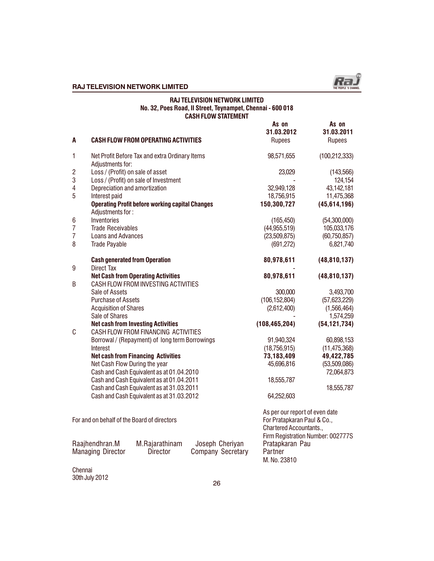

## RAJ TELEVISION NETWORK LIMITED No. 32, Poes Road, II Street, Teynampet, Chennai - 600 018 CASH FLOW STATEMENT

| A                       |                                                           | <b>CASH FLOW FROM OPERATING ACTIVITIES</b>             |                                             | As on<br>31.03.2012<br>Rupees                                                            | As on<br>31.03.2011<br>Rupees     |
|-------------------------|-----------------------------------------------------------|--------------------------------------------------------|---------------------------------------------|------------------------------------------------------------------------------------------|-----------------------------------|
| 1                       | Adjustments for:                                          | Net Profit Before Tax and extra Ordinary Items         |                                             | 98,571,655                                                                               | (100, 212, 333)                   |
| $\overline{\mathbf{c}}$ | Loss / (Profit) on sale of asset                          |                                                        |                                             | 23,029                                                                                   | (143, 566)                        |
| 3                       |                                                           | Loss / (Profit) on sale of Investment                  |                                             |                                                                                          | 124,154                           |
| $\overline{4}$          | Depreciation and amortization                             |                                                        |                                             | 32,949,128                                                                               | 43,142,181                        |
| 5                       | Interest paid                                             |                                                        |                                             | 18,756,915                                                                               | 11,475,368                        |
|                         | Adjustments for:                                          | <b>Operating Profit before working capital Changes</b> |                                             | 150,300,727                                                                              | (45, 614, 196)                    |
| $\,6$                   | Inventories                                               |                                                        |                                             | (165, 450)                                                                               | (54, 300, 000)                    |
| $\overline{7}$          | <b>Trade Receivables</b>                                  |                                                        |                                             | (44, 955, 519)                                                                           | 105,033,176                       |
| $\overline{7}$          | <b>Loans and Advances</b>                                 |                                                        |                                             | (23,509,875)                                                                             | (60, 750, 857)                    |
| 8                       | <b>Trade Payable</b>                                      |                                                        |                                             | (691, 272)                                                                               | 6,821,740                         |
| 9                       | <b>Cash generated from Operation</b><br><b>Direct Tax</b> |                                                        |                                             | 80,978,611                                                                               | (48, 810, 137)                    |
|                         |                                                           | <b>Net Cash from Operating Activities</b>              |                                             | 80,978,611                                                                               | (48, 810, 137)                    |
| B                       |                                                           | CASH FLOW FROM INVESTING ACTIVITIES                    |                                             |                                                                                          |                                   |
|                         | Sale of Assets                                            |                                                        |                                             | 300,000                                                                                  | 3,493,700                         |
|                         | <b>Purchase of Assets</b>                                 |                                                        |                                             | (106, 152, 804)                                                                          | (57, 623, 229)                    |
|                         | <b>Acquisition of Shares</b>                              |                                                        |                                             | (2,612,400)                                                                              | (1,566,464)                       |
|                         | Sale of Shares                                            |                                                        |                                             |                                                                                          | 1,574,259                         |
|                         |                                                           | <b>Net cash from Investing Activities</b>              |                                             | (108, 465, 204)                                                                          | (54, 121, 734)                    |
| C                       |                                                           | CASH FLOW FROM FINANCING ACTIVITIES                    |                                             |                                                                                          |                                   |
|                         |                                                           | Borrowal / (Repayment) of long term Borrowings         |                                             | 91,940,324                                                                               | 60,898,153                        |
|                         | Interest                                                  |                                                        |                                             | (18,756,915)                                                                             | (11, 475, 368)                    |
|                         |                                                           | <b>Net cash from Financing Activities</b>              |                                             | 73,183,409                                                                               | 49,422,785                        |
|                         | Net Cash Flow During the year                             |                                                        |                                             | 45,696,816                                                                               | (53,509,086)                      |
|                         |                                                           | Cash and Cash Equivalent as at 01.04.2010              |                                             |                                                                                          | 72,064,873                        |
|                         |                                                           | Cash and Cash Equivalent as at 01.04.2011              |                                             | 18,555,787                                                                               |                                   |
|                         |                                                           | Cash and Cash Equivalent as at 31.03.2011              |                                             |                                                                                          | 18,555,787                        |
|                         |                                                           | Cash and Cash Equivalent as at 31.03.2012              |                                             | 64,252,603                                                                               |                                   |
|                         |                                                           | For and on behalf of the Board of directors            |                                             | As per our report of even date<br>For Pratapkaran Paul & Co.,<br>Chartered Accountants., | Firm Registration Number: 002777S |
|                         | Raajhendhran.M<br><b>Managing Director</b>                | M.Rajarathinam<br><b>Director</b>                      | Joseph Cheriyan<br><b>Company Secretary</b> | Pratapkaran Pau<br>Partner<br>M. No. 23810                                               |                                   |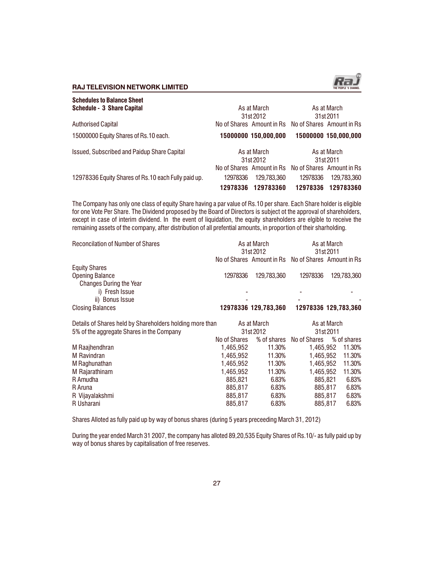

| <b>Schedules to Balance Sheet</b><br>Schedule - 3 Share Capital |          | As at March                                                      |          | As at March              |
|-----------------------------------------------------------------|----------|------------------------------------------------------------------|----------|--------------------------|
| <b>Authorised Capital</b>                                       |          | 31st 2012<br>No of Shares Amount in Rs No of Shares Amount in Rs |          | 31st 2011                |
| 15000000 Equity Shares of Rs.10 each.                           |          | 15000000 150,000,000                                             |          | 15000000 150,000,000     |
| Issued, Subscribed and Paidup Share Capital                     |          | As at March<br>31st 2012                                         |          | As at March<br>31st 2011 |
|                                                                 |          | No of Shares Amount in Rs No of Shares Amount in Rs              |          |                          |
| 12978336 Equity Shares of Rs.10 each Fully paid up.             | 12978336 | 129.783.360                                                      | 12978336 | 129.783.360              |
|                                                                 | 12978336 | 129783360                                                        | 12978336 | 129783360                |

The Company has only one class of equity Share having a par value of Rs.10 per share. Each Share holder is eligible for one Vote Per Share. The Dividend proposed by the Board of Directors is subject ot the approval of shareholders, except in case of interim dividend. In the event of liquidation, the equity shareholders are elgible to receive the remaining assets of the company, after distribution of all prefential amounts, in proportion of their sharholding.

| <b>Reconcilation of Number of Shares</b>                 | As at March<br>31st 2012 |                                                     | As at March<br>31st 2011 |                      |  |
|----------------------------------------------------------|--------------------------|-----------------------------------------------------|--------------------------|----------------------|--|
|                                                          |                          | No of Shares Amount in Rs No of Shares Amount in Rs |                          |                      |  |
| <b>Equity Shares</b>                                     |                          |                                                     |                          |                      |  |
| <b>Opening Balance</b>                                   | 12978336                 | 129,783,360                                         | 12978336                 | 129,783,360          |  |
| Changes During the Year                                  |                          |                                                     |                          |                      |  |
| i) Fresh Issue                                           |                          |                                                     |                          |                      |  |
| ii) Bonus Issue                                          |                          |                                                     |                          |                      |  |
| <b>Closing Balances</b>                                  |                          | 12978336 129,783,360                                |                          | 12978336 129,783,360 |  |
| Details of Shares held by Shareholders holding more than |                          | As at March                                         |                          | As at March          |  |
| 5% of the aggregate Shares in the Company                |                          | 31st 2012                                           |                          | 31st 2011            |  |
|                                                          | No of Shares             | % of shares                                         | No of Shares             | % of shares          |  |
| M Raajhendhran                                           | 1,465,952                | 11.30%                                              | 1,465,952                | 11.30%               |  |
| M Ravindran                                              | 1,465,952                | 11.30%                                              | 1,465,952                | 11.30%               |  |
| M Raghunathan                                            | 1,465,952                | 11.30%                                              | 1,465,952                | 11.30%               |  |
| M Rajarathinam                                           | 1,465,952                | 11.30%                                              | 1,465,952                | 11.30%               |  |
| R Amudha                                                 | 885.821                  | 6.83%                                               | 885,821                  | 6.83%                |  |
| R Aruna                                                  | 885,817                  | 6.83%                                               | 885,817                  | 6.83%                |  |
| R Vijayalakshmi                                          | 885,817                  | 6.83%                                               | 885,817                  | 6.83%                |  |
| R Usharani                                               | 885.817                  | 6.83%                                               | 885.817                  | 6.83%                |  |

Shares Alloted as fully paid up by way of bonus shares (during 5 years preceeding March 31, 2012)

During the year ended March 31 2007, the company has alloted 89,20,535 Equity Shares of Rs.10/- as fully paid up by way of bonus shares by capitalisation of free reserves.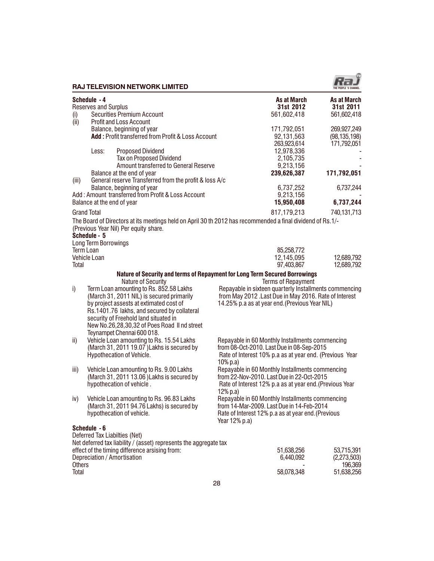|                 |                                             | <b>RAJ TELEVISION NETWORK LIMITED</b>                                                                                                                                                                                                                                   |               |                                                                                                                                                                    | THE PEOPLE 'S CHANNEL                          |
|-----------------|---------------------------------------------|-------------------------------------------------------------------------------------------------------------------------------------------------------------------------------------------------------------------------------------------------------------------------|---------------|--------------------------------------------------------------------------------------------------------------------------------------------------------------------|------------------------------------------------|
| (i)             | Schedule - 4<br><b>Reserves and Surplus</b> | <b>Securities Premium Account</b>                                                                                                                                                                                                                                       |               | As at March<br>31st 2012<br>561,602,418                                                                                                                            | <b>As at March</b><br>31st 2011<br>561,602,418 |
| (ii)            |                                             | <b>Profit and Loss Account</b><br>Balance, beginning of year<br>Add: Profit transferred from Profit & Loss Account                                                                                                                                                      |               | 171,792,051<br>92,131,563<br>263,923,614                                                                                                                           | 269,927,249<br>(98, 135, 198)<br>171,792,051   |
|                 | Less:                                       | <b>Proposed Dividend</b><br>Tax on Proposed Dividend<br>Amount transferred to General Reserve<br>Balance at the end of year                                                                                                                                             |               | 12,978,336<br>2,105,735<br>9,213,156<br>239,626,387                                                                                                                | 171,792,051                                    |
| (iii)           |                                             | General reserve Transferred from the profit & loss A/c<br>Balance, beginning of year<br>Add: Amount transferred from Profit & Loss Account                                                                                                                              |               | 6,737,252<br>9,213,156                                                                                                                                             | 6,737,244                                      |
|                 | Balance at the end of year                  |                                                                                                                                                                                                                                                                         |               | 15,950,408                                                                                                                                                         | 6,737,244                                      |
|                 | <b>Grand Total</b>                          | The Board of Directors at its meetings held on April 30 th 2012 has recommended a final dividend of Rs.1/-                                                                                                                                                              |               | 817,179,213                                                                                                                                                        | 740,131,713                                    |
|                 | Schedule - 5<br><b>Long Term Borrowings</b> | (Previous Year Nil) Per equity share.                                                                                                                                                                                                                                   |               |                                                                                                                                                                    |                                                |
| Total           | <b>Term Loan</b><br>Vehicle Loan            |                                                                                                                                                                                                                                                                         |               | 85,258,772<br>12,145,095<br>97,403,867                                                                                                                             | 12,689,792<br>12,689,792                       |
|                 |                                             | Nature of Security and terms of Repayment for Long Term Secured Borrowings<br>Nature of Security                                                                                                                                                                        |               | <b>Terms of Repayment</b>                                                                                                                                          |                                                |
| i)              |                                             | Term Loan amounting to Rs. 852.58 Lakhs<br>(March 31, 2011 NIL) is secured primarily<br>by project assests at extimated cost of<br>Rs.1401.76 lakhs, and secured by collateral<br>security of Freehold land situated in<br>New No.26,28,30,32 of Poes Road II nd street |               | Repayable in sixteen quarterly Installments commencing<br>from May 2012 . Last Due in May 2016. Rate of Interest<br>14.25% p.a as at year end. (Previous Year NIL) |                                                |
| ii)             |                                             | Teynampet Chennai 600 018.<br>Vehicle Loan amounting to Rs. 15.54 Lakhs<br>(March 31, 2011 19.07) Lakhs is secured by<br>Hypothecation of Vehicle.                                                                                                                      | 10% p.a)      | Repayable in 60 Monthly Installments commencing<br>from 08-Oct-2010. Last Due in 08-Sep-2015<br>Rate of Interest 10% p.a as at year end. (Previous Year            |                                                |
| iii)            |                                             | Vehicle Loan amounting to Rs. 9.00 Lakhs<br>(March 31, 2011 13.06) Lakhs is secured by<br>hypothecation of vehicle.                                                                                                                                                     | 12% p.a)      | Repayable in 60 Monthly Installments commencing<br>from 22-Nov-2010. Last Due in 22-Oct-2015<br>Rate of Interest 12% p.a as at year end. (Previous Year            |                                                |
| iv)             |                                             | Vehicle Loan amounting to Rs. 96.83 Lakhs<br>(March 31, 2011 94.76 Lakhs) is secured by<br>hypothecation of vehicle.                                                                                                                                                    | Year 12% p.a) | Repayable in 60 Monthly Installments commencing<br>from 14-Mar-2009. Last Due in 14-Feb-2014<br>Rate of Interest 12% p.a as at year end. (Previous                 |                                                |
|                 | Schedule - 6                                | Deferred Tax Liabilties (Net)<br>Net deferred tax liability / (asset) represents the aggregate tax                                                                                                                                                                      |               |                                                                                                                                                                    |                                                |
|                 |                                             | effect of the timing difference arsising from:<br>Depreciation / Amortisation                                                                                                                                                                                           |               | 51,638,256<br>6,440,092                                                                                                                                            | 53,715,391<br>(2,273,503)                      |
| Others<br>Total |                                             |                                                                                                                                                                                                                                                                         |               | 58,078,348                                                                                                                                                         | 196,369<br>51,638,256                          |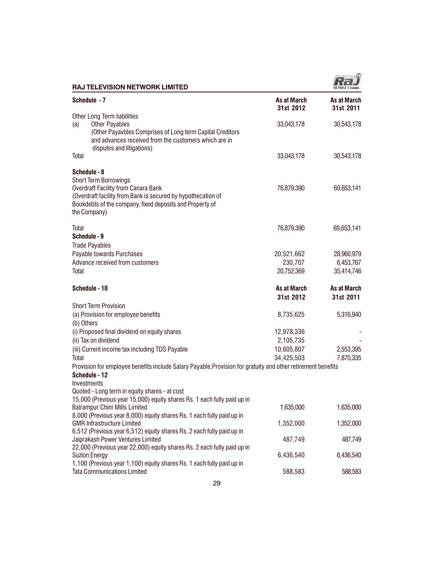

| <b>RAJ TELEVISION NETWORK LIMITED</b>                                                                                                                                                                                                  |                                     | THE PEOPLE 'S CHANNEL                 |
|----------------------------------------------------------------------------------------------------------------------------------------------------------------------------------------------------------------------------------------|-------------------------------------|---------------------------------------|
| Schedule - 7                                                                                                                                                                                                                           | As at March<br>31st 2012            | <b>As at March</b><br>31st 2011       |
| Other Long Term liabilities<br><b>Other Payables</b><br>(a)<br>(Other Payavbles Comprises of Long term Capital Creditors<br>and advances received from the customers which are in<br>disputes and litigations)                         | 33,043,178                          | 30,543,178                            |
| Total                                                                                                                                                                                                                                  | 33,043,178                          | 30,543,178                            |
| Schedule - 8<br><b>Short Term Borrowings</b><br><b>Overdraft Facility from Canara Bank</b><br>(Overdraft facility from Bank is secured by hypothecation of<br>Bookdebts of the company, fixed deposits and Property of<br>the Company) | 76,879,390                          | 69,653,141                            |
| Total                                                                                                                                                                                                                                  | 76,879,390                          | 69,653,141                            |
| Schedule - 9<br><b>Trade Payables</b><br>Payable towards Purchases<br>Advance received from customers<br>Total                                                                                                                         | 20,521,662<br>230,707<br>20,752,369 | 28,960,979<br>6,453,767<br>35,414,746 |
| Schedule - 10                                                                                                                                                                                                                          | As at March                         | As at March                           |
|                                                                                                                                                                                                                                        | 31st 2012                           | 31st 2011                             |
| <b>Short Term Provision</b>                                                                                                                                                                                                            |                                     |                                       |
| (a) Provision for employee benefits                                                                                                                                                                                                    | 8,735,625                           | 5,316,940                             |
| (b) Others<br>(i) Proposed final dividend on equity shares                                                                                                                                                                             | 12,978,336                          |                                       |
| (ii) Tax on dividend                                                                                                                                                                                                                   | 2,105,735                           |                                       |
| (iii) Current income tax including TDS Payable                                                                                                                                                                                         | 10,605,807                          | 2,553,395                             |
| Total                                                                                                                                                                                                                                  | 34,425,503                          | 7,870,335                             |
| Provision for employee benefits include Salary Payable, Provision for gratuity and other retirement benefits<br>Schedule - 12<br>Investments                                                                                           |                                     |                                       |
| Quoted - Long term in equity shares - at cost<br>15,000 (Previous year 15,000) equity shares Rs. 1 each fully paid up in                                                                                                               |                                     |                                       |
| <b>Balrampur Chini Mills Limited</b>                                                                                                                                                                                                   | 1,635,000                           | 1,635,000                             |
| 8,000 (Previous year 8,000) equity shares Rs. 1 each fully paid up in<br><b>GMR Infrastructure Limited</b>                                                                                                                             | 1,352,000                           | 1,352,000                             |
| 6,512 (Previous year 6,512) equity shares Rs. 2 each fully paid up in<br>Jaiprakash Power Ventures Limited                                                                                                                             | 487,749                             | 487,749                               |
| 22,000 (Previous year 22,000) equity shares Rs. 2 each fully paid up in<br><b>Suzlon Energy</b><br>1,100 (Previous year 1,100) equity shares Rs. 1 each fully paid up in                                                               | 6,436,540                           | 6,436,540                             |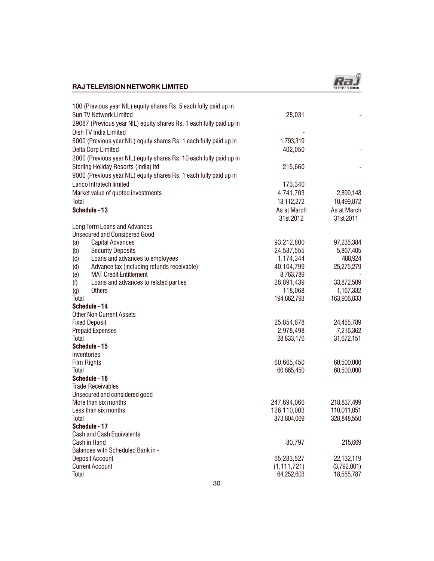

| 100 (Previous year NIL) equity shares Rs. 5 each fully paid up in   |               |             |
|---------------------------------------------------------------------|---------------|-------------|
| Sun TV Network Limited                                              | 28,031        |             |
| 29087 (Previous year NIL) equity shares Rs. 1 each fully paid up in |               |             |
| Dish TV India Limited                                               |               |             |
| 5000 (Previous year NIL) equity shares Rs. 1 each fully paid up in  | 1,793,319     |             |
| Delta Corp Limited                                                  | 402,050       |             |
| 2000 (Previous year NIL) equity shares Rs. 10 each fully paid up in |               |             |
| Sterling Holiday Resorts (India) Itd                                | 215,660       |             |
| 9000 (Previous year NIL) equity shares Rs. 1 each fully paid up in  |               |             |
|                                                                     |               |             |
| Lanco Infratech limited                                             | 173,340       |             |
| Market value of quoted investments                                  | 4,741,703     | 2,899,148   |
| Total                                                               | 13,112,272    | 10,499,872  |
| Schedule - 13                                                       | As at March   | As at March |
|                                                                     | 31st 2012     | 31st 2011   |
| Long Term Loans and Advances                                        |               |             |
| <b>Unsecured and Considered Good</b>                                |               |             |
| <b>Capital Advances</b><br>(a)                                      | 93,212,800    | 97,235,384  |
| <b>Security Deposits</b><br>(b)                                     | 24,537,555    | 5,867,405   |
| Loans and advances to employees<br>(c)                              | 1,174,344     | 488,924     |
| Advance tax (including refunds receivable)<br>(d)                   | 40,164,799    | 25,275,279  |
| <b>MAT Credit Entitlement</b><br>(e)                                | 8,763,789     |             |
| Loans and advances to related parties<br>(f)                        | 26,891,439    | 33,872,509  |
| <b>Others</b><br>$\left( 9\right)$                                  | 118,068       | 1,167,332   |
| Total                                                               | 194,862,793   | 163,906,833 |
| Schedule - 14                                                       |               |             |
| <b>Other Non Current Assets</b>                                     |               |             |
| <b>Fixed Deposit</b>                                                | 25,854,678    | 24,455,789  |
| <b>Prepaid Expenses</b>                                             | 2,978,498     | 7,216,362   |
| Total                                                               | 28,833,176    | 31,672,151  |
| Schedule - 15                                                       |               |             |
| Inventories                                                         |               |             |
| Film Rights                                                         | 60,665,450    | 60,500,000  |
| Total                                                               | 60,665,450    | 60,500,000  |
| Schedule - 16                                                       |               |             |
| <b>Trade Receivables</b>                                            |               |             |
| Unsecured and considered good                                       |               |             |
| More than six months                                                | 247,694,066   | 218,837,499 |
| Less than six months                                                | 126,110,003   | 110,011,051 |
| Total                                                               | 373,804,069   | 328,848,550 |
| Schedule - 17                                                       |               |             |
| <b>Cash and Cash Equivalents</b>                                    |               |             |
| Cash in Hand                                                        | 80,797        | 215,669     |
| Balances with Scheduled Bank in -                                   |               |             |
| Deposit Account                                                     | 65,283,527    | 22,132,119  |
| <b>Current Account</b>                                              | (1, 111, 721) | (3,792,001) |
| Total                                                               | 64,252,603    | 18,555,787  |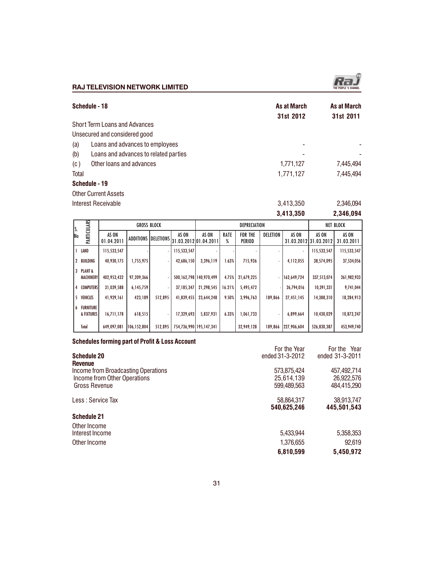|       | Schedule - 18                         | As at March<br>31st 2012 | As at March<br>31st 2011 |
|-------|---------------------------------------|--------------------------|--------------------------|
|       | <b>Short Term Loans and Advances</b>  |                          |                          |
|       | Unsecured and considered good         |                          |                          |
| (a)   | Loans and advances to employees       |                          |                          |
| (b)   | Loans and advances to related parties |                          |                          |
| (c)   | Other loans and advances              | 1,771,127                | 7,445,494                |
| Total |                                       | 1,771,127                | 7,445,494                |
|       | Schedule - 19                         |                          |                          |
|       | <b>Other Current Assets</b>           |                          |                          |

Interest Receivable 2,346,094 3,413,350 2,346,094

|     |                                |                     | <b>GROSS BLOCK</b> |                     | DEPRECIATION                    |                         |           |                          | <b>NET BLOCK</b> |             |                                |                     |
|-----|--------------------------------|---------------------|--------------------|---------------------|---------------------------------|-------------------------|-----------|--------------------------|------------------|-------------|--------------------------------|---------------------|
| lNo | PARTICULARS                    | AS ON<br>01.04.2011 |                    | ADDITIONS DELETIONS | AS ON<br>[31.03.2012]01.04.2011 | AS ON                   | RATE<br>% | <b>FOR THE</b><br>PERIOD | DELETION         | AS ON       | AS ON<br>31.03.2012131.03.2012 | AS ON<br>31.03.2011 |
|     | LAND                           | 115,533,547         |                    |                     | 115,533,547                     |                         |           |                          |                  | ٠           | 115,533,547                    | 115,533,547         |
| 2   | BUILDING                       | 40,930,175          | 1,755,975          |                     | 42,686,150                      | 3,396,119               | 1.63%     | 715,936                  |                  | 4,112,055   | 38,574,095                     | 37,534,056          |
| 3   | PLANT &<br>MACHINERY           | 402,953,432         | 97,209,366         |                     |                                 | 500.162.798 140.970.499 | 4.75%     | 21,679,225               |                  | 162,649,724 | 337,513,074                    | 261,982,933         |
| 4   | <b>COMPUTERS</b>               | 31,039,588          | 6,145,759          |                     | 37, 185, 347                    | 21,298,545              | 16.21%    | 5,495,472                |                  | 26,794,016  | 10,391,331                     | 9,741,044           |
| 5   | <b>VEHICLES</b>                | 41,929,161          | 423,189            | 512.895             | 41,839,455                      | 23,644,248              | 9.50%     | 3,996,763                | 189,866          | 27,451,145  | 14,388,310                     | 18,284,913          |
| 6   | <b>FURNITURE</b><br>& FIXTURES | 16,711,178          | 618,515            |                     | 17,329,693                      | 5,837,931               | 6.33%     | 1,061,733                |                  | 6,899,664   | 10,430,029                     | 10,873,247          |
|     | Total                          | 649,097,081         | 106,152,804        | 512,895             | 754,736,990 195,147,341         |                         |           | 32,949,128               | 189,866          | 227,906,604 | 526,830,387                    | 453,949,740         |

# Schedules forming part of Profit & Loss Account

| <u> Odhoudios forming part or From &amp; E000 A000am </u> | For the Year    | For the Year    |
|-----------------------------------------------------------|-----------------|-----------------|
| <b>Schedule 20</b>                                        | ended 31-3-2012 | ended 31-3-2011 |
| <b>Revenue</b>                                            |                 |                 |
| Income from Broadcasting Operations                       | 573,875,424     | 457,492,714     |
| Income from Other Operations                              | 25.614.139      | 26,922,576      |
| Gross Revenue                                             | 599.489.563     | 484.415.290     |
| Less : Service Tax                                        | 58,864,317      | 38,913,747      |
|                                                           | 540,625,246     | 445,501,543     |
| Schedule 21                                               |                 |                 |
| Other Income                                              |                 |                 |
| Interest Income                                           | 5,433,944       | 5,358,353       |
| Other Income                                              | 1,376,655       | 92.619          |
|                                                           | 6,810,599       | 5,450,972       |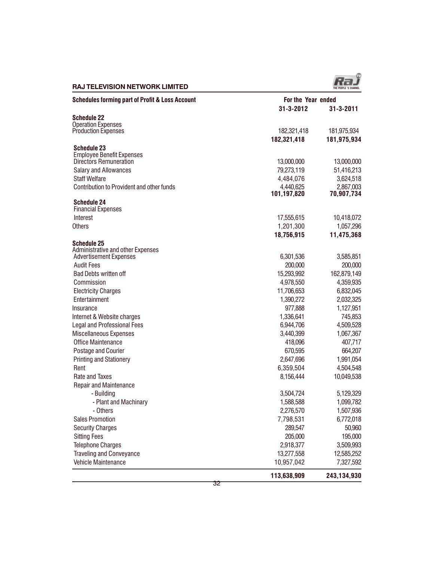

| <b>Schedules forming part of Profit &amp; Loss Account</b> | For the Year ended         |             |
|------------------------------------------------------------|----------------------------|-------------|
|                                                            | 31-3-2012                  | 31-3-2011   |
| <b>Schedule 22</b>                                         |                            |             |
| <b>Operation Expenses</b>                                  |                            |             |
| <b>Production Expenses</b>                                 | 182,321,418<br>182,321,418 | 181,975,934 |
| <b>Schedule 23</b>                                         |                            | 181,975,934 |
| <b>Employee Benefit Expenses</b>                           |                            |             |
| Directors Remuneration                                     | 13,000,000                 | 13,000,000  |
| Salary and Allowances                                      | 79,273,119                 | 51,416,213  |
| <b>Staff Welfare</b>                                       | 4,484,076                  | 3,624,518   |
| Contribution to Provident and other funds                  | 4,440,625                  | 2,867,003   |
|                                                            | 101,197,820                | 70,907,734  |
| <b>Schedule 24</b>                                         |                            |             |
| <b>Financial Expenses</b>                                  |                            |             |
| Interest                                                   | 17,555,615                 | 10,418,072  |
| <b>Others</b>                                              | 1,201,300                  | 1,057,296   |
|                                                            | 18,756,915                 | 11,475,368  |
| <b>Schedule 25</b><br>Administrative and other Expenses    |                            |             |
| <b>Advertisement Expenses</b>                              | 6,301,536                  | 3,585,851   |
| <b>Audit Fees</b>                                          | 200,000                    | 200,000     |
| <b>Bad Debts written off</b>                               | 15,293,992                 | 162,879,149 |
| Commission                                                 | 4,978,550                  | 4,359,935   |
| <b>Electricity Charges</b>                                 | 11,706,653                 | 6,832,045   |
| Entertainment                                              | 1,390,272                  | 2,032,325   |
| Insurance                                                  | 977,888                    | 1,127,951   |
| Internet & Website charges                                 | 1,336,641                  | 745,853     |
| Legal and Professional Fees                                | 6,944,706                  | 4,509,528   |
| Miscellaneous Expenses                                     | 3,440,399                  | 1,067,367   |
| Office Maintenance                                         | 418,096                    | 407,717     |
| Postage and Courier                                        | 670,595                    | 664,207     |
| <b>Printing and Stationery</b>                             | 2,647,696                  | 1,991,054   |
| Rent                                                       | 6,359,504                  | 4,504,548   |
| Rate and Taxes                                             | 8,156,444                  | 10,049,538  |
| <b>Repair and Maintenance</b>                              |                            |             |
| - Building                                                 | 3,504,724                  | 5,129,329   |
| - Plant and Machinary                                      | 1,588,588                  | 1,099,782   |
| - Others                                                   | 2,276,570                  | 1,507,936   |
| <b>Sales Promotion</b>                                     | 7,798,531                  | 6,772,018   |
| <b>Security Charges</b>                                    | 289,547                    | 50,960      |
| <b>Sitting Fees</b>                                        | 205,000                    | 195,000     |
| <b>Telephone Charges</b>                                   | 2,918,377                  | 3,509,993   |
| <b>Traveling and Conveyance</b>                            | 13,277,558                 | 12,585,252  |
| Vehicle Maintenance                                        | 10,957,042                 | 7,327,592   |
|                                                            | 113,638,909                | 243,134,930 |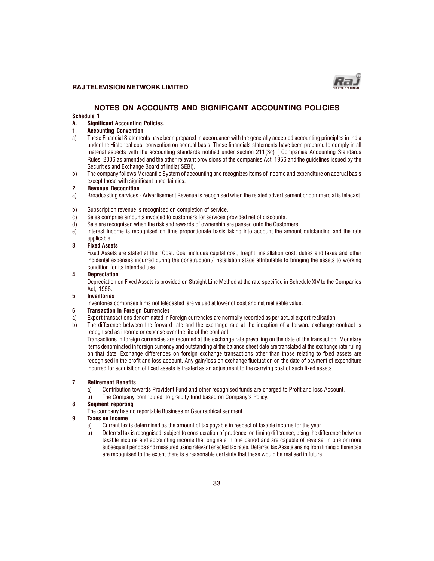

#### NOTES ON ACCOUNTS AND SIGNIFICANT ACCOUNTING POLICIES Schedule 1

#### A. Significant Accounting Policies.

#### 1. Accounting Convention

- a) These Financial Statements have been prepared in accordance with the generally accepted accounting principles in India under the Historical cost convention on accrual basis. These financials statements have been prepared to comply in all material aspects with the accounting standards notified under section 211(3c) [ Companies Accounting Standards Rules, 2006 as amended and the other relevant provisions of the companies Act, 1956 and the guidelines issued by the Securities and Exchange Board of India( SEBI).
- b) The company follows Mercantile System of accounting and recognizes items of income and expenditure on accrual basis except those with significant uncertainties.

#### 2. Revenue Recognition

- a) Broadcasting services Advertisement Revenue is recognised when the related advertisement or commercial is telecast.
- b) Subscription revenue is recognised on completion of service.
- c) Sales comprise amounts invoiced to customers for services provided net of discounts.
- d) Sale are recognised when the risk and rewards of ownership are passed onto the Customers.
- e) Interest Income is recognised on time proportionate basis taking into account the amount outstanding and the rate applicable.

#### 3. Fixed Assets

Fixed Assets are stated at their Cost. Cost includes capital cost, freight, installation cost, duties and taxes and other incidental expenses incurred during the construction / installation stage attributable to bringing the assets to working condition for its intended use.

#### 4. Depreciation

Depreciation on Fixed Assets is provided on Straight Line Method at the rate specified in Schedule XIV to the Companies Act, 1956.

#### 5 Inventories

Inventories comprises films not telecasted are valued at lower of cost and net realisable value.

#### 6 Transaction in Foreign Currencies

- a) Export transactions denominated in Foreign currencies are normally recorded as per actual export realisation.
- b) The difference between the forward rate and the exchange rate at the inception of a forward exchange contract is recognised as income or expense over the life of the contract.

Transactions in foreign currencies are recorded at the exchange rate prevailing on the date of the transaction. Monetary items denominated in foreign currency and outstanding at the balance sheet date are translated at the exchange rate ruling on that date. Exchange differences on foreign exchange transactions other than those relating to fixed assets are recognised in the profit and loss account. Any gain/loss on exchange fluctuation on the date of payment of expenditure incurred for acquisition of fixed assets is treated as an adjustment to the carrying cost of such fixed assets.

#### 7 Retirement Benefits

- a) Contribution towards Provident Fund and other recognised funds are charged to Profit and loss Account.<br>b) The Company contributed to gratuity fund based on Company's Policy.
- The Company contributed to gratuity fund based on Company's Policy.

#### 8 Segment reporting

The company has no reportable Business or Geographical segment.

#### 9 Taxes on Income

- a) Current tax is determined as the amount of tax payable in respect of taxable income for the year.
- b) Deferred tax is recognised, subject to consideration of prudence, on timing difference, being the difference between taxable income and accounting income that originate in one period and are capable of reversal in one or more subsequent periods and measured using relevant enacted tax rates. Deferred tax Assets arising from timing differences are recognised to the extent there is a reasonable certainty that these would be realised in future.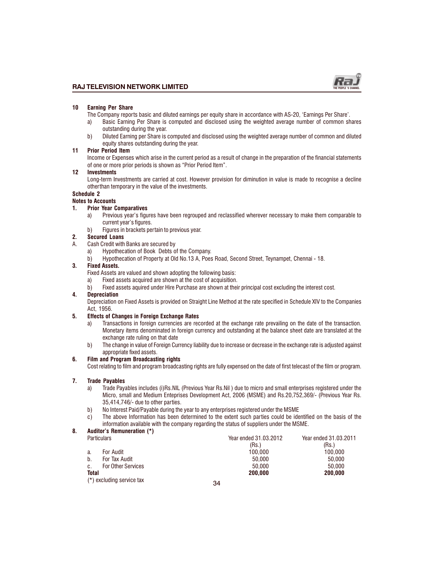

#### 10 Earning Per Share

- The Company reports basic and diluted earnings per equity share in accordance with AS-20, 'Earnings Per Share'.
- a) Basic Earning Per Share is computed and disclosed using the weighted average number of common shares outstanding during the year.
- b) Diluted Earning per Share is computed and disclosed using the weighted average number of common and diluted equity shares outstanding during the year.

#### 11 Prior Period Item

Income or Expenses which arise in the current period as a result of change in the preparation of the financial statements of one or more prior periods is shown as "Prior Period Item".

#### 12 Investments

Long-term Investments are carried at cost. However provision for diminution in value is made to recognise a decline otherthan temporary in the value of the investments.

# Schedule 2

# Notes to Accounts

# 1. Prior Year Comparatives

- a) Previous year's figures have been regrouped and reclassified wherever necessary to make them comparable to current year's figures.
- b) Figures in brackets pertain to previous year.

#### 2. Secured Loans

- A. Cash Credit with Banks are secured by
	- a) Hypothecation of Book Debts of the Company.
	- b) Hypothecation of Property at Old No.13 A, Poes Road, Second Street, Teynampet, Chennai 18.

#### 3. Fixed Assets.

Fixed Assets are valued and shown adopting the following basis:

- a) Fixed assets acquired are shown at the cost of acquisition.
- b) Fixed assets aquired under Hire Purchase are shown at their principal cost excluding the interest cost.

#### 4. Depreciation

Depreciation on Fixed Assets is provided on Straight Line Method at the rate specified in Schedule XIV to the Companies Act, 1956.

#### 5. Effects of Changes in Foreign Exchange Rates

- a) Transactions in foreign currencies are recorded at the exchange rate prevailing on the date of the transaction. Monetary items denominated in foreign currency and outstanding at the balance sheet date are translated at the exchange rate ruling on that date
- b) The change in value of Foreign Currency liability due to increase or decrease in the exchange rate is adjusted against appropriate fixed assets.

#### 6. Film and Program Broadcasting rights

Cost relating to film and program broadcasting rights are fully expensed on the date of first telecast of the film or program.

#### 7. Trade Payables

- a) Trade Payables includes (i)Rs.NIL (Previous Year Rs.Nil ) due to micro and small enterprises registered under the Micro, small and Medium Enteprises Development Act, 2006 (MSME) and Rs.20,752,369/- (Previous Year Rs. 35,414,746/- due to other parties.
- b) No Interest Paid/Payable during the year to any enterprises registered under the MSME
- c) The above Information has been determined to the extent such parties could be identified on the basis of the information available with the company regarding the status of suppliers under the MSME.

#### 8. Auditor's Remuneration (\*)

| <b>Particulars</b>              | Year ended 31.03.2012 | Year ended 31.03.2011 |
|---------------------------------|-----------------------|-----------------------|
|                                 | (Rs.)                 | (Rs.)                 |
| For Audit<br>a.                 | 100.000               | 100.000               |
| b.<br>For Tax Audit             | 50.000                | 50.000                |
| <b>For Other Services</b><br>C. | 50.000                | 50.000                |
| <b>Total</b>                    | 200.000               | 200,000               |
| (*) excluding service tax       | 24                    |                       |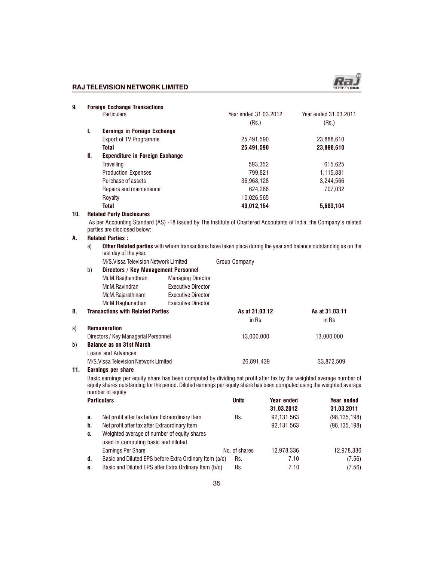

| 9.  | <b>Foreign Exchange Transactions</b> |                                                                                                                                                     |                       |                       |  |  |  |  |
|-----|--------------------------------------|-----------------------------------------------------------------------------------------------------------------------------------------------------|-----------------------|-----------------------|--|--|--|--|
|     |                                      | <b>Particulars</b>                                                                                                                                  | Year ended 31,03,2012 | Year ended 31,03,2011 |  |  |  |  |
|     |                                      |                                                                                                                                                     | (Rs.)                 | (Rs.)                 |  |  |  |  |
|     | I.                                   | <b>Earnings in Foreign Exchange</b>                                                                                                                 |                       |                       |  |  |  |  |
|     |                                      | <b>Export of TV Programme</b>                                                                                                                       | 25,491,590            | 23,888,610            |  |  |  |  |
|     |                                      | Total                                                                                                                                               | 25,491,590            | 23,888,610            |  |  |  |  |
|     | II.                                  | <b>Expenditure in Foreign Exchange</b>                                                                                                              |                       |                       |  |  |  |  |
|     |                                      | Travelling                                                                                                                                          | 593,352               | 615,625               |  |  |  |  |
|     |                                      | <b>Production Expenses</b>                                                                                                                          | 799.821               | 1,115,881             |  |  |  |  |
|     |                                      | Purchase of assets                                                                                                                                  | 36,968,128            | 3,244,566             |  |  |  |  |
|     |                                      | Repairs and maintenance                                                                                                                             | 624.288               | 707,032               |  |  |  |  |
|     |                                      | Royalty                                                                                                                                             | 10,026,565            |                       |  |  |  |  |
|     |                                      | <b>Total</b>                                                                                                                                        | 49.012.154            | 5,683,104             |  |  |  |  |
| 10. |                                      | <b>Related Party Disclosures</b>                                                                                                                    |                       |                       |  |  |  |  |
|     |                                      | As per Accounting Standard (AS) -18 issued by The Institute of Chartered Accoutants of India, the Company's related<br>parties are disclosed below: |                       |                       |  |  |  |  |

#### A. Related Parties :

a) Other Related parties with whom transactions have taken place during the year and balance outstanding as on the last day of the year.

| M/S.Vissa Television Network Limited | Group Company |
|--------------------------------------|---------------|
|--------------------------------------|---------------|

|    |    | IVI/Ə. VISSA TEIEVISIOII NELWOLK LIITIILEU |                           | Group Company  |                |
|----|----|--------------------------------------------|---------------------------|----------------|----------------|
|    | b) | Directors / Key Management Personnel       |                           |                |                |
|    |    | Mr.M.Raajhendhran                          | <b>Managing Director</b>  |                |                |
|    |    | Mr.M.Ravindran                             | <b>Executive Director</b> |                |                |
|    |    | Mr.M.Rajarathinam                          | <b>Executive Director</b> |                |                |
|    |    | Mr.M.Raghunathan                           | <b>Executive Director</b> |                |                |
| В. |    | <b>Transactions with Related Parties</b>   |                           | As at 31.03.12 | As at 31.03.11 |
|    |    |                                            |                           | in Rs          | in Rs          |
| a) |    | <b>Remuneration</b>                        |                           |                |                |
|    |    | Directors / Key Managerial Personnel       |                           | 13.000.000     | 13.000.000     |
| b) |    | <b>Balance as on 31st March</b>            |                           |                |                |
|    |    | Loans and Advances                         |                           |                |                |
|    |    | M/S. Vissa Television Network Limited      |                           | 26,891,439     | 33,872,509     |
| 11 |    | <b>Farnings ner share</b>                  |                           |                |                |

# 11. Earnings per share

Basic earnings per equity share has been computed by dividing net profit after tax by the weighted average number of equity shares outstanding for the period. Diluted earnings per equity share has been computed using the weighted average number of equity

|                                                                                          | <b>Particulars</b>                                     | <b>Units</b>  | Year ended | Year ended     |
|------------------------------------------------------------------------------------------|--------------------------------------------------------|---------------|------------|----------------|
|                                                                                          |                                                        |               | 31.03.2012 | 31.03.2011     |
| a.                                                                                       | Net profit after tax before Extraordinary Item         | Rs.           | 92,131,563 | (98, 135, 198) |
| b.                                                                                       | Net profit after tax after Extraordinary Item          |               | 92,131,563 | (98, 135, 198) |
| Weighted average of number of equity shares<br>C.<br>used in computing basic and diluted |                                                        |               |            |                |
|                                                                                          | <b>Earnings Per Share</b>                              | No. of shares | 12,978,336 | 12,978,336     |
| d.                                                                                       | Basic and Diluted EPS before Extra Ordinary Item (a/c) | Rs.           | 7.10       | (7.56)         |
| е.                                                                                       | Basic and Diluted EPS after Extra Ordinary Item (b/c)  | Rs.           | 7.10       | (7.56)         |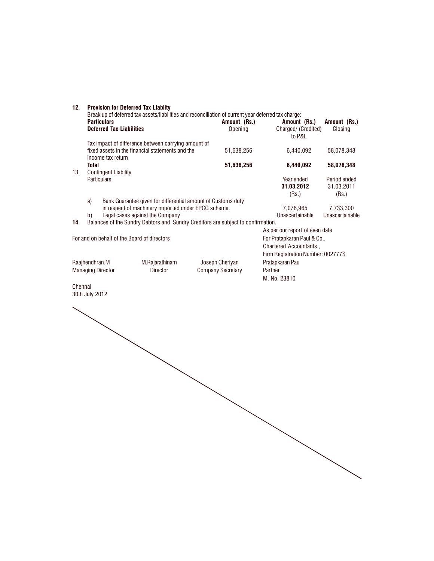| 12.                              | <b>Provision for Deferred Tax Liablity</b><br>Break up of deferred tax assets/liabilities and reconciliation of current year deferred tax charge: |                          |                                                                                             |                                     |
|----------------------------------|---------------------------------------------------------------------------------------------------------------------------------------------------|--------------------------|---------------------------------------------------------------------------------------------|-------------------------------------|
|                                  | <b>Particulars</b><br><b>Deferred Tax Liabilities</b>                                                                                             | Amount (Rs.)<br>Opening  | Amount (Rs.)<br>Charged/ (Credited)<br>to P&L                                               | Amount (Rs.)<br>Closing             |
|                                  | Tax impact of difference between carrying amount of<br>fixed assets in the financial statements and the<br>income tax return                      | 51,638,256               | 6,440,092                                                                                   | 58,078,348                          |
|                                  | <b>Total</b>                                                                                                                                      | 51,638,256               | 6,440,092                                                                                   | 58,078,348                          |
| 13.                              | <b>Contingent Liability</b><br>Particulars                                                                                                        |                          | Year ended<br>31.03.2012<br>(Rs.)                                                           | Period ended<br>31.03.2011<br>(Rs.) |
|                                  | Bank Guarantee given for differential amount of Customs duty<br>a)<br>in respect of machinery imported under EPCG scheme.                         |                          | 7,076,965                                                                                   | 7,733,300                           |
|                                  | Legal cases against the Company<br>b)                                                                                                             |                          | Unascertainable                                                                             | Unascertainable                     |
| 14.                              | Balances of the Sundry Debtors and Sundry Creditors are subject to confirmation.                                                                  |                          | As per our report of even date                                                              |                                     |
|                                  | For and on behalf of the Board of directors                                                                                                       |                          | For Pratapkaran Paul & Co.,<br>Chartered Accountants.,<br>Firm Registration Number: 002777S |                                     |
| Raajhendhran.M<br>M.Rajarathinam |                                                                                                                                                   | Joseph Cheriyan          | Pratapkaran Pau                                                                             |                                     |
|                                  | <b>Managing Director</b><br>Director                                                                                                              | <b>Company Secretary</b> | Partner<br>M. No. 23810                                                                     |                                     |
| Chennai                          | 30th July 2012                                                                                                                                    |                          |                                                                                             |                                     |
|                                  |                                                                                                                                                   |                          |                                                                                             |                                     |
|                                  |                                                                                                                                                   |                          |                                                                                             |                                     |
|                                  |                                                                                                                                                   |                          |                                                                                             |                                     |
|                                  |                                                                                                                                                   |                          |                                                                                             |                                     |
|                                  |                                                                                                                                                   |                          |                                                                                             |                                     |
|                                  |                                                                                                                                                   |                          |                                                                                             |                                     |
|                                  |                                                                                                                                                   |                          |                                                                                             |                                     |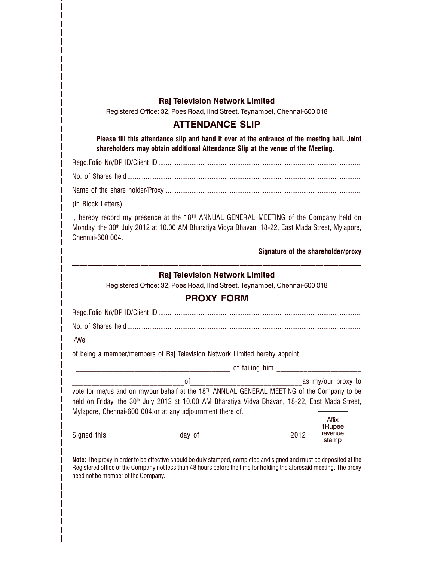# Raj Television Network Limited

Registered Office: 32, Poes Road, IInd Street, Teynampet, Chennai-600 018

# ATTENDANCE SLIP

Please fill this attendance slip and hand it over at the entrance of the meeting hall. Joint shareholders may obtain additional Attendance Slip at the venue of the Meeting.

Regd.Folio No/DP ID/Client ID ..............................................................................................................

No. of Shares held ...............................................................................................................................

Name of the share holder/Proxy ..........................................................................................................

(In Block Letters) .................................................................................................................................

I, hereby record my presence at the 18<sup>TH</sup> ANNUAL GENERAL MEETING of the Company held on Monday, the 30<sup>th</sup> July 2012 at 10.00 AM Bharatiya Vidya Bhavan, 18-22, East Mada Street, Mylapore, Chennai-600 004.

Signature of the shareholder/proxy

# Raj Television Network Limited

Registered Office: 32, Poes Road, IInd Street, Teynampet, Chennai-600 018

# PROXY FORM

| l/We |                                                                                                             |      |                                     |
|------|-------------------------------------------------------------------------------------------------------------|------|-------------------------------------|
|      | of being a member/members of Raj Television Network Limited hereby appoint                                  |      |                                     |
|      | of failing him ______________________                                                                       |      |                                     |
|      |                                                                                                             |      |                                     |
|      | vote for me/us and on my/our behalf at the 18 <sup>TH</sup> ANNUAL GENERAL MEETING of the Company to be     |      |                                     |
|      | held on Friday, the 30 <sup>th</sup> July 2012 at 10.00 AM Bharatiya Vidya Bhavan, 18-22, East Mada Street, |      |                                     |
|      | Mylapore, Chennai-600 004.or at any adjournment there of.                                                   |      |                                     |
|      | Signed this _____________________________day of ________________________________                            | 2012 | Affix<br>1Rupee<br>revenue<br>stamp |

Note: The proxy in order to be effective should be duly stamped, completed and signed and must be deposited at the Registered office of the Company not less than 48 hours before the time for holding the aforesaid meeting. The proxy need not be member of the Company.